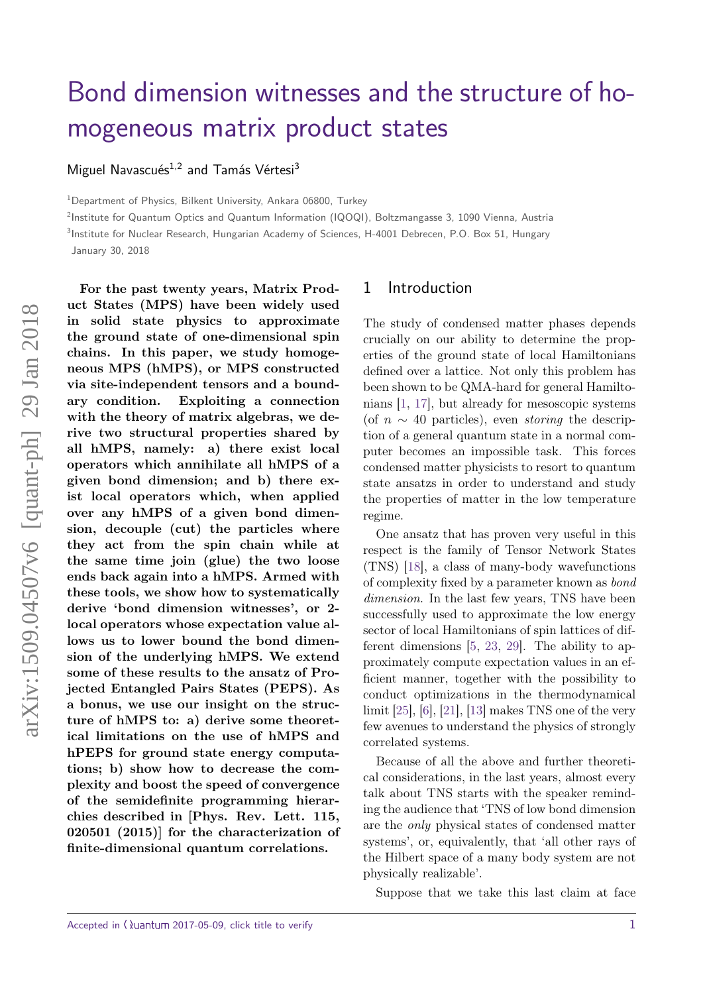# [Bond dimension witnesses and the structure of ho](http://quantum-journal.org/?s=Bond%20dimension%20witnesses%20and%20the%20structure%20of%20homogeneous%20matrix%20product%20states)mogeneous matrix product states

Miguel Navascués<sup>1,2</sup> and Tamás Vértesi<sup>3</sup>

<sup>1</sup>Department of Physics, Bilkent University, Ankara 06800, Turkey

2 Institute for Quantum Optics and Quantum Information (IQOQI), Boltzmangasse 3, 1090 Vienna, Austria

3 Institute for Nuclear Research, Hungarian Academy of Sciences, H-4001 Debrecen, P.O. Box 51, Hungary

January 30, 2018

**For the past twenty years, Matrix Product States (MPS) have been widely used in solid state physics to approximate the ground state of one-dimensional spin chains. In this paper, we study homogeneous MPS (hMPS), or MPS constructed via site-independent tensors and a boundary condition. Exploiting a connection with the theory of matrix algebras, we derive two structural properties shared by all hMPS, namely: a) there exist local operators which annihilate all hMPS of a given bond dimension; and b) there exist local operators which, when applied over any hMPS of a given bond dimension, decouple (cut) the particles where they act from the spin chain while at the same time join (glue) the two loose ends back again into a hMPS. Armed with these tools, we show how to systematically derive 'bond dimension witnesses', or 2 local operators whose expectation value allows us to lower bound the bond dimension of the underlying hMPS. We extend some of these results to the ansatz of Projected Entangled Pairs States (PEPS). As a bonus, we use our insight on the structure of hMPS to: a) derive some theoretical limitations on the use of hMPS and hPEPS for ground state energy computations; b) show how to decrease the complexity and boost the speed of convergence of the semidefinite programming hierarchies described in [Phys. Rev. Lett. 115, 020501 (2015)] for the characterization of finite-dimensional quantum correlations.**

### 1 Introduction

The study of condensed matter phases depends crucially on our ability to determine the properties of the ground state of local Hamiltonians defined over a lattice. Not only this problem has been shown to be QMA-hard for general Hamiltonians [\[1,](#page-9-0) [17\]](#page-10-0), but already for mesoscopic systems (of  $n \sim 40$  particles), even *storing* the description of a general quantum state in a normal computer becomes an impossible task. This forces condensed matter physicists to resort to quantum state ansatzs in order to understand and study the properties of matter in the low temperature regime.

One ansatz that has proven very useful in this respect is the family of Tensor Network States (TNS) [\[18\]](#page-10-1), a class of many-body wavefunctions of complexity fixed by a parameter known as bond dimension. In the last few years, TNS have been successfully used to approximate the low energy sector of local Hamiltonians of spin lattices of different dimensions [\[5,](#page-10-2) [23,](#page-11-0) [29\]](#page-11-1). The ability to approximately compute expectation values in an efficient manner, together with the possibility to conduct optimizations in the thermodynamical limit [\[25\]](#page-11-2), [\[6\]](#page-10-3), [\[21\]](#page-11-3), [\[13\]](#page-10-4) makes TNS one of the very few avenues to understand the physics of strongly correlated systems.

Because of all the above and further theoretical considerations, in the last years, almost every talk about TNS starts with the speaker reminding the audience that 'TNS of low bond dimension are the only physical states of condensed matter systems', or, equivalently, that 'all other rays of the Hilbert space of a many body system are not physically realizable'.

Suppose that we take this last claim at face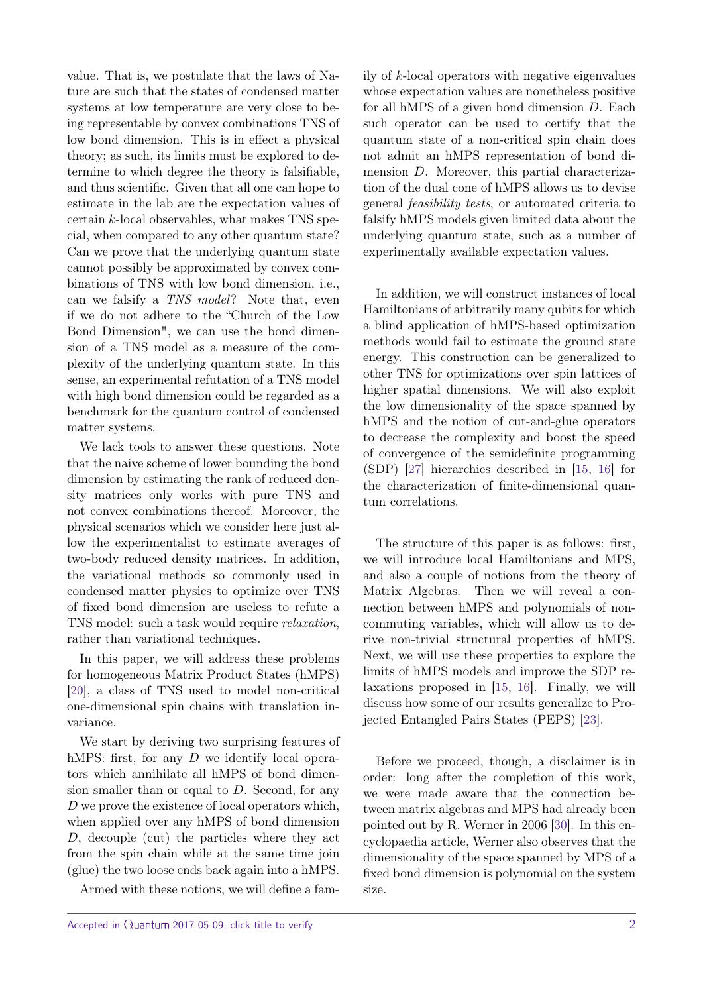value. That is, we postulate that the laws of Nature are such that the states of condensed matter systems at low temperature are very close to being representable by convex combinations TNS of low bond dimension. This is in effect a physical theory; as such, its limits must be explored to determine to which degree the theory is falsifiable, and thus scientific. Given that all one can hope to estimate in the lab are the expectation values of certain *k*-local observables, what makes TNS special, when compared to any other quantum state? Can we prove that the underlying quantum state cannot possibly be approximated by convex combinations of TNS with low bond dimension, i.e., can we falsify a TNS model? Note that, even if we do not adhere to the "Church of the Low Bond Dimension", we can use the bond dimension of a TNS model as a measure of the complexity of the underlying quantum state. In this sense, an experimental refutation of a TNS model with high bond dimension could be regarded as a benchmark for the quantum control of condensed matter systems.

We lack tools to answer these questions. Note that the naive scheme of lower bounding the bond dimension by estimating the rank of reduced density matrices only works with pure TNS and not convex combinations thereof. Moreover, the physical scenarios which we consider here just allow the experimentalist to estimate averages of two-body reduced density matrices. In addition, the variational methods so commonly used in condensed matter physics to optimize over TNS of fixed bond dimension are useless to refute a TNS model: such a task would require relaxation, rather than variational techniques.

In this paper, we will address these problems for homogeneous Matrix Product States (hMPS) [\[20\]](#page-10-5), a class of TNS used to model non-critical one-dimensional spin chains with translation invariance.

We start by deriving two surprising features of hMPS: first, for any *D* we identify local operators which annihilate all hMPS of bond dimension smaller than or equal to *D*. Second, for any *D* we prove the existence of local operators which, when applied over any hMPS of bond dimension *D*, decouple (cut) the particles where they act from the spin chain while at the same time join (glue) the two loose ends back again into a hMPS.

Armed with these notions, we will define a fam-

ily of *k*-local operators with negative eigenvalues whose expectation values are nonetheless positive for all hMPS of a given bond dimension *D*. Each such operator can be used to certify that the quantum state of a non-critical spin chain does not admit an hMPS representation of bond dimension *D*. Moreover, this partial characterization of the dual cone of hMPS allows us to devise general feasibility tests, or automated criteria to falsify hMPS models given limited data about the underlying quantum state, such as a number of experimentally available expectation values.

In addition, we will construct instances of local Hamiltonians of arbitrarily many qubits for which a blind application of hMPS-based optimization methods would fail to estimate the ground state energy. This construction can be generalized to other TNS for optimizations over spin lattices of higher spatial dimensions. We will also exploit the low dimensionality of the space spanned by hMPS and the notion of cut-and-glue operators to decrease the complexity and boost the speed of convergence of the semidefinite programming (SDP) [\[27\]](#page-11-4) hierarchies described in [\[15,](#page-10-6) [16\]](#page-10-7) for the characterization of finite-dimensional quantum correlations.

The structure of this paper is as follows: first, we will introduce local Hamiltonians and MPS, and also a couple of notions from the theory of Matrix Algebras. Then we will reveal a connection between hMPS and polynomials of noncommuting variables, which will allow us to derive non-trivial structural properties of hMPS. Next, we will use these properties to explore the limits of hMPS models and improve the SDP relaxations proposed in [\[15,](#page-10-6) [16\]](#page-10-7). Finally, we will discuss how some of our results generalize to Projected Entangled Pairs States (PEPS) [\[23\]](#page-11-0).

Before we proceed, though, a disclaimer is in order: long after the completion of this work, we were made aware that the connection between matrix algebras and MPS had already been pointed out by R. Werner in 2006 [\[30\]](#page-11-5). In this encyclopaedia article, Werner also observes that the dimensionality of the space spanned by MPS of a fixed bond dimension is polynomial on the system size.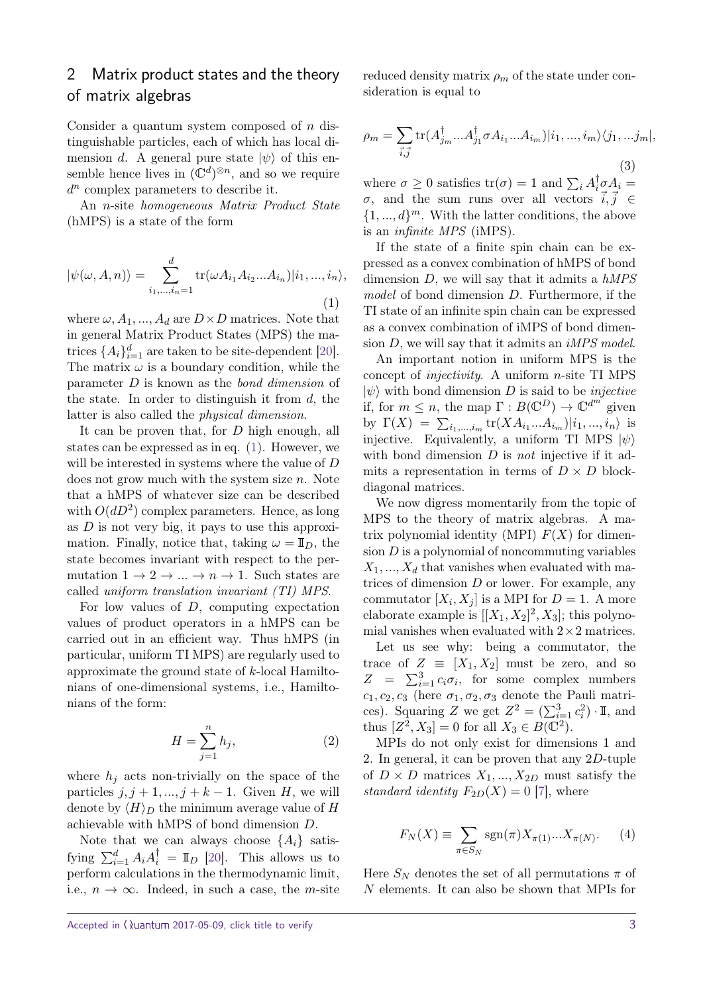# 2 Matrix product states and the theory of matrix algebras

Consider a quantum system composed of *n* distinguishable particles, each of which has local dimension *d*. A general pure state  $|\psi\rangle$  of this ensemble hence lives in  $(\mathbb{C}^d)^{\otimes n}$ , and so we require *d n* complex parameters to describe it.

An *n*-site homogeneous Matrix Product State (hMPS) is a state of the form

<span id="page-2-0"></span>
$$
|\psi(\omega, A, n)\rangle = \sum_{i_1, \dots, i_n=1}^d \text{tr}(\omega A_{i_1} A_{i_2} \dots A_{i_n}) | i_1, \dots, i_n\rangle,
$$
\n(1)

where  $\omega$ ,  $A_1$ , ...,  $A_d$  are  $D \times D$  matrices. Note that in general Matrix Product States (MPS) the matrices  $\{A_i\}_{i=1}^d$  are taken to be site-dependent [\[20\]](#page-10-5). The matrix  $\omega$  is a boundary condition, while the parameter *D* is known as the bond dimension of the state. In order to distinguish it from *d*, the latter is also called the physical dimension.

It can be proven that, for *D* high enough, all states can be expressed as in eq. [\(1\)](#page-2-0). However, we will be interested in systems where the value of *D* does not grow much with the system size *n*. Note that a hMPS of whatever size can be described with  $O(dD^2)$  complex parameters. Hence, as long as *D* is not very big, it pays to use this approximation. Finally, notice that, taking  $\omega = \mathbb{I}_D$ , the state becomes invariant with respect to the permutation  $1 \rightarrow 2 \rightarrow \dots \rightarrow n \rightarrow 1$ . Such states are called uniform translation invariant (TI) MPS.

For low values of *D*, computing expectation values of product operators in a hMPS can be carried out in an efficient way. Thus hMPS (in particular, uniform TI MPS) are regularly used to approximate the ground state of *k*-local Hamiltonians of one-dimensional systems, i.e., Hamiltonians of the form:

<span id="page-2-1"></span>
$$
H = \sum_{j=1}^{n} h_j,
$$
\n(2)

where  $h_j$  acts non-trivially on the space of the particles  $j, j + 1, ..., j + k - 1$ . Given *H*, we will denote by  $\langle H \rangle_D$  the minimum average value of *H* achievable with hMPS of bond dimension *D*.

Note that we can always choose  $\{A_i\}$  satisfying  $\sum_{i=1}^{d} A_i A_i^{\dagger} = \mathbb{I}_D$  [\[20\]](#page-10-5). This allows us to perform calculations in the thermodynamic limit, i.e.,  $n \to \infty$ . Indeed, in such a case, the *m*-site

reduced density matrix  $\rho_m$  of the state under consideration is equal to

<span id="page-2-2"></span>
$$
\rho_m = \sum_{\vec{i},\vec{j}} \text{tr}(A_{j_m}^\dagger...A_{j_1}^\dagger \sigma A_{i_1}...A_{i_m})|i_1,...,i_m\rangle\langle j_1,...j_m|,
$$
\n(3)

where  $\sigma \geq 0$  satisfies  $\text{tr}(\sigma) = 1$  and  $\sum_i A_i^{\dagger} \sigma A_i =$ *σ*, and the sum runs over all vectors  $\vec{i}, \vec{j} \in$  $\{1, ..., d\}^m$ . With the latter conditions, the above is an infinite MPS (iMPS).

If the state of a finite spin chain can be expressed as a convex combination of hMPS of bond dimension  $D$ , we will say that it admits a  $hMPS$ model of bond dimension *D*. Furthermore, if the TI state of an infinite spin chain can be expressed as a convex combination of iMPS of bond dimension *D*, we will say that it admits an iMPS model.

An important notion in uniform MPS is the concept of injectivity. A uniform *n*-site TI MPS  $|\psi\rangle$  with bond dimension *D* is said to be *injective* if, for  $m \leq n$ , the map  $\Gamma : B(\mathbb{C}^D) \to \mathbb{C}^{d^m}$  given by  $\Gamma(X) = \sum_{i_1, ..., i_m} \text{tr}(XA_{i_1}...A_{i_m})|i_1, ..., i_n\rangle$  is injective. Equivalently, a uniform TI MPS  $|\psi\rangle$ with bond dimension *D* is *not* injective if it admits a representation in terms of  $D \times D$  blockdiagonal matrices.

We now digress momentarily from the topic of MPS to the theory of matrix algebras. A matrix polynomial identity (MPI)  $F(X)$  for dimension  $D$  is a polynomial of noncommuting variables  $X_1, \ldots, X_d$  that vanishes when evaluated with matrices of dimension *D* or lower. For example, any commutator  $[X_i, X_j]$  is a MPI for  $D = 1$ . A more elaborate example is  $[[X_1, X_2]^2, X_3]$ ; this polynomial vanishes when evaluated with  $2\times 2$  matrices.

Let us see why: being a commutator, the trace of  $Z \equiv [X_1, X_2]$  must be zero, and so  $Z = \sum_{i=1}^{3} c_i \sigma_i$ , for some complex numbers  $c_1, c_2, c_3$  (here  $\sigma_1, \sigma_2, \sigma_3$  denote the Pauli matrices). Squaring *Z* we get  $Z^2 = (\sum_{i=1}^3 c_i^2) \cdot \mathbb{I}$ , and thus  $[Z^2, X_3] = 0$  for all  $X_3 \in B(\mathbb{C}^2)$ .

MPIs do not only exist for dimensions 1 and 2. In general, it can be proven that any 2*D*-tuple of  $D \times D$  matrices  $X_1, ..., X_{2D}$  must satisfy the standard identity  $F_{2D}(X) = 0$  [\[7\]](#page-10-8), where

<span id="page-2-3"></span>
$$
F_N(X) \equiv \sum_{\pi \in S_N} \text{sgn}(\pi) X_{\pi(1)} ... X_{\pi(N)}.
$$
 (4)

Here  $S_N$  denotes the set of all permutations  $\pi$  of *N* elements. It can also be shown that MPIs for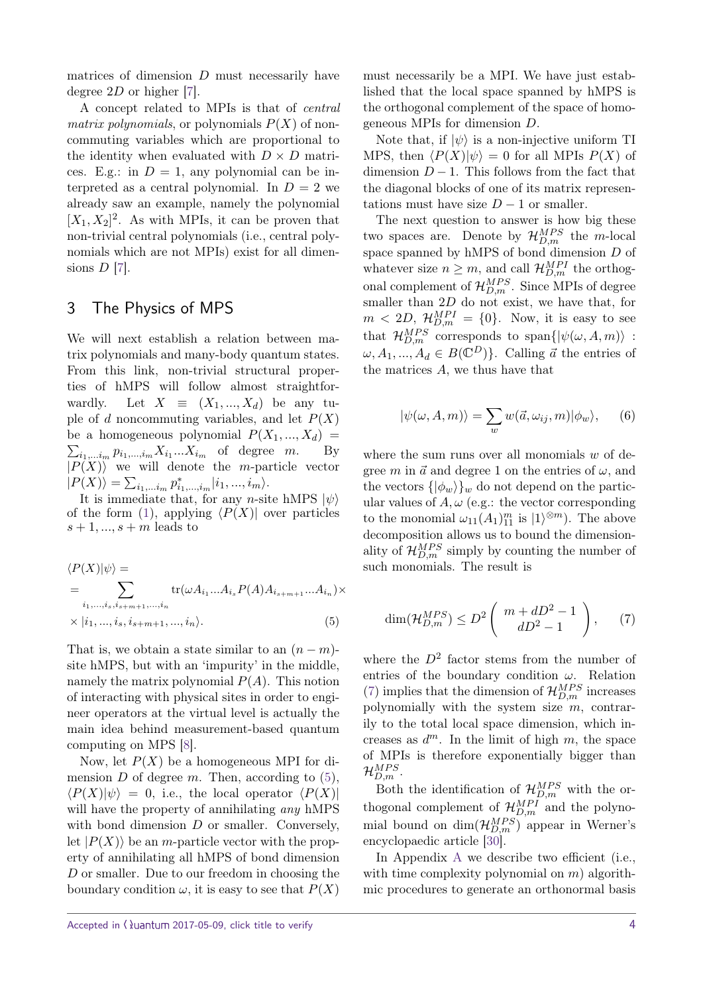matrices of dimension *D* must necessarily have degree 2*D* or higher [\[7\]](#page-10-8).

A concept related to MPIs is that of central matrix polynomials, or polynomials  $P(X)$  of noncommuting variables which are proportional to the identity when evaluated with  $D \times D$  matrices. E.g.: in  $D = 1$ , any polynomial can be interpreted as a central polynomial. In  $D = 2$  we already saw an example, namely the polynomial  $[X_1, X_2]^2$ . As with MPIs, it can be proven that non-trivial central polynomials (i.e., central polynomials which are not MPIs) exist for all dimensions *D* [\[7\]](#page-10-8).

## 3 The Physics of MPS

We will next establish a relation between matrix polynomials and many-body quantum states. From this link, non-trivial structural properties of hMPS will follow almost straightforwardly. Let  $X \equiv (X_1, ..., X_d)$  be any tuple of *d* noncommuting variables, and let  $P(X)$ be a homogeneous polynomial  $P(X_1, ..., X_d)$  $\sum_{i_1,\dots,i_m} p_{i_1,\dots,i_m} X_{i_1} \dots X_{i_m}$  of degree *m*. By  $|P(X)\rangle$  we will denote the *m*-particle vector  $|P(X)\rangle = \sum_{i_1,\dots i_m} p_{i_1,\dots,i_m}^* |i_1,\dots,i_m\rangle.$ 

It is immediate that, for any *n*-site hMPS  $|\psi\rangle$ of the form [\(1\)](#page-2-0), applying  $\langle P(X) \rangle$  over particles  $s + 1, \ldots, s + m$  leads to

$$
\langle P(X)|\psi\rangle =
$$
  
= 
$$
\sum_{i_1,\dots,i_s,i_{s+m+1},\dots,i_n} \text{tr}(\omega A_{i_1}...A_{i_s} P(A) A_{i_{s+m+1}}...A_{i_n}) \times
$$
  

$$
\times |i_1,...,i_s,i_{s+m+1},...,i_n\rangle.
$$
 (5)

That is, we obtain a state similar to an  $(n - m)$ site hMPS, but with an 'impurity' in the middle, namely the matrix polynomial  $P(A)$ . This notion of interacting with physical sites in order to engineer operators at the virtual level is actually the main idea behind measurement-based quantum computing on MPS [\[8\]](#page-10-9).

Now, let  $P(X)$  be a homogeneous MPI for dimension  $D$  of degree  $m$ . Then, according to  $(5)$ ,  $\langle P(X)|\psi\rangle = 0$ , i.e., the local operator  $\langle P(X)|$ will have the property of annihilating *any* hMPS with bond dimension *D* or smaller. Conversely, let  $|P(X)\rangle$  be an *m*-particle vector with the property of annihilating all hMPS of bond dimension *D* or smaller. Due to our freedom in choosing the boundary condition  $\omega$ , it is easy to see that  $P(X)$  must necessarily be a MPI. We have just established that the local space spanned by hMPS is the orthogonal complement of the space of homogeneous MPIs for dimension *D*.

Note that, if  $|\psi\rangle$  is a non-injective uniform TI MPS, then  $\langle P(X)|\psi \rangle = 0$  for all MPIs  $P(X)$  of dimension  $D-1$ . This follows from the fact that the diagonal blocks of one of its matrix representations must have size  $D-1$  or smaller.

The next question to answer is how big these two spaces are. Denote by  $\mathcal{H}_{D,m}^{MPS}$  the *m*-local space spanned by hMPS of bond dimension *D* of whatever size  $n \geq m$ , and call  $\mathcal{H}_{D,m}^{MPI}$  the orthogonal complement of  $\mathcal{H}_{D,m}^{MPS}$ . Since MPIs of degree smaller than 2*D* do not exist, we have that, for  $m < 2D$ ,  $\mathcal{H}_{D,m}^{MPI} = \{0\}$ . Now, it is easy to see that  $\mathcal{H}_{D,m}^{MPS}$  corresponds to span $\{|\psi(\omega, A, m)\rangle$  :  $\omega, A_1, ..., A_d \in B(\mathbb{C}^D)$ . Calling  $\vec{a}$  the entries of the matrices *A*, we thus have that

<span id="page-3-2"></span>
$$
|\psi(\omega, A, m)\rangle = \sum_{w} w(\vec{a}, \omega_{ij}, m)|\phi_w\rangle, \qquad (6)
$$

where the sum runs over all monomials *w* of degree *m* in  $\vec{a}$  and degree 1 on the entries of  $\omega$ , and the vectors  $\{\ket{\phi_w}\}_w$  do not depend on the particular values of  $A, \omega$  (e.g.: the vector corresponding to the monomial  $\omega_{11}(A_1)_{11}^m$  is  $|1\rangle^{\otimes m}$ ). The above decomposition allows us to bound the dimensionality of  $\mathcal{H}_{D,m}^{MPS}$  simply by counting the number of such monomials. The result is

<span id="page-3-1"></span>
$$
\dim(\mathcal{H}_{D,m}^{MPS}) \le D^2 \left( \begin{array}{c} m + dD^2 - 1 \\ dD^2 - 1 \end{array} \right), \qquad (7)
$$

<span id="page-3-0"></span>where the  $D^2$  factor stems from the number of entries of the boundary condition *ω*. Relation [\(7\)](#page-3-1) implies that the dimension of  $\mathcal{H}_{D,m}^{MPS}$  increases polynomially with the system size *m*, contrarily to the total local space dimension, which increases as  $d^m$ . In the limit of high  $m$ , the space of MPIs is therefore exponentially bigger than  $\mathcal{H}_{D,m}^{MPS}$  .

Both the identification of  $\mathcal{H}_{D,m}^{MPS}$  with the orthogonal complement of  $\mathcal{H}_{D,m}^{MPI}$  and the polynomial bound on  $\dim(\mathcal{H}_{D,m}^{MPS})$  appear in Werner's encyclopaedic article [\[30\]](#page-11-5).

In [A](#page-11-6)ppendix A we describe two efficient (i.e., with time complexity polynomial on *m*) algorithmic procedures to generate an orthonormal basis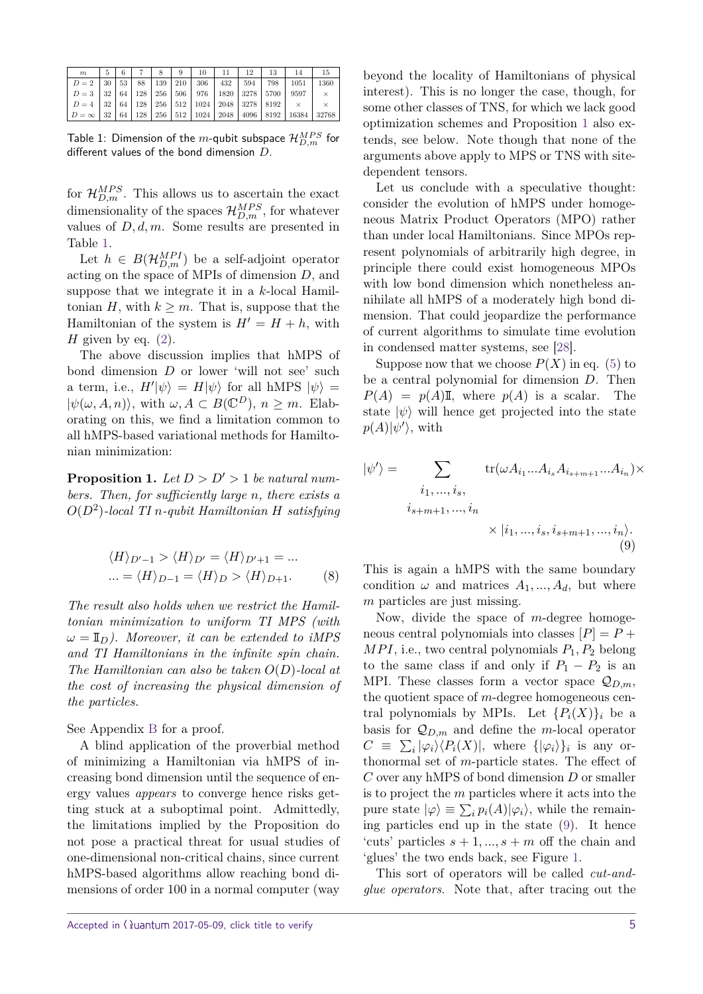| $\boldsymbol{m}$                                                                                    | $-6$ | 7 8 1 | 9 <sup>1</sup> | $10 \quad 11$ | 12 | 13 | 14 | 15       |
|-----------------------------------------------------------------------------------------------------|------|-------|----------------|---------------|----|----|----|----------|
| $D = 2$   30   53   88   139   210   306   432   594   798   1051   1360                            |      |       |                |               |    |    |    |          |
| $D = 3 \mid 32 \mid 64 \mid 128 \mid 256 \mid 506 \mid 976 \mid 1820 \mid 3278 \mid 5700 \mid 9597$ |      |       |                |               |    |    |    | $\times$ |
| $D=4$   32   64   128   256   512   1024   2048   3278   8192   $\times$                            |      |       |                |               |    |    |    |          |
| $D = \infty$ 32 64 128 256 512 1024 2048 4096 8192 16384 32768                                      |      |       |                |               |    |    |    |          |

<span id="page-4-0"></span>Table 1: Dimension of the  $m$ -qubit subspace  $\mathcal{H}_{D,m}^{MPS}$  for different values of the bond dimension *D*.

for  $\mathcal{H}_{D,m}^{MPS}$ . This allows us to ascertain the exact dimensionality of the spaces  $\mathcal{H}_{D,m}^{MPS}$ , for whatever values of *D, d, m*. Some results are presented in Table [1.](#page-4-0)

Let  $h \in B(\mathcal{H}_{D,m}^{MPI})$  be a self-adjoint operator acting on the space of MPIs of dimension *D*, and suppose that we integrate it in a *k*-local Hamiltonian *H*, with  $k \geq m$ . That is, suppose that the Hamiltonian of the system is  $H' = H + h$ , with *H* given by eq. [\(2\)](#page-2-1).

The above discussion implies that hMPS of bond dimension *D* or lower 'will not see' such a term, i.e.,  $H'|\psi\rangle = H|\psi\rangle$  for all hMPS  $|\psi\rangle =$  $|\psi(\omega, A, n)\rangle$ , with  $\omega, A \subset B(\mathbb{C}^D)$ ,  $n \geq m$ . Elaborating on this, we find a limitation common to all hMPS-based variational methods for Hamiltonian minimization:

<span id="page-4-1"></span>**Proposition 1.** *Let*  $D > D' > 1$  *be natural numbers. Then, for sufficiently large n, there exists a O*(*D*<sup>2</sup> )*-local TI n-qubit Hamiltonian H satisfying*

$$
\langle H \rangle_{D'-1} > \langle H \rangle_{D'} = \langle H \rangle_{D'+1} = \dots
$$
  
 
$$
\dots = \langle H \rangle_{D-1} = \langle H \rangle_D > \langle H \rangle_{D+1}.
$$
 (8)

*The result also holds when we restrict the Hamiltonian minimization to uniform TI MPS (with*  $\omega = \mathbb{I}_D$ *). Moreover, it can be extended to iMPS and TI Hamiltonians in the infinite spin chain. The Hamiltonian can also be taken O*(*D*)*-local at the cost of increasing the physical dimension of the particles.*

See Appendix [B](#page-12-0) for a proof.

A blind application of the proverbial method of minimizing a Hamiltonian via hMPS of increasing bond dimension until the sequence of energy values appears to converge hence risks getting stuck at a suboptimal point. Admittedly, the limitations implied by the Proposition do not pose a practical threat for usual studies of one-dimensional non-critical chains, since current hMPS-based algorithms allow reaching bond dimensions of order 100 in a normal computer (way beyond the locality of Hamiltonians of physical interest). This is no longer the case, though, for some other classes of TNS, for which we lack good optimization schemes and Proposition [1](#page-4-1) also extends, see below. Note though that none of the arguments above apply to MPS or TNS with sitedependent tensors.

Let us conclude with a speculative thought: consider the evolution of hMPS under homogeneous Matrix Product Operators (MPO) rather than under local Hamiltonians. Since MPOs represent polynomials of arbitrarily high degree, in principle there could exist homogeneous MPOs with low bond dimension which nonetheless annihilate all hMPS of a moderately high bond dimension. That could jeopardize the performance of current algorithms to simulate time evolution in condensed matter systems, see [\[28\]](#page-11-7).

Suppose now that we choose  $P(X)$  in eq. [\(5\)](#page-3-0) to be a central polynomial for dimension *D*. Then  $P(A) = p(A)\mathbb{I}$ , where  $p(A)$  is a scalar. The state  $|\psi\rangle$  will hence get projected into the state  $p(A)|\psi'\rangle$ , with

$$
|\psi'\rangle = \sum_{\substack{i_1, \dots, i_s, \\ i_s + m + 1, \dots, i_n}} \text{tr}(\omega A_{i_1} \dots A_{i_s} A_{i_{s+m+1}} \dots A_{i_n}) \times
$$

$$
\times |i_1, \dots, i_s, i_{s+m+1}, \dots, i_n\rangle.
$$

$$
(9)
$$

<span id="page-4-3"></span><span id="page-4-2"></span>This is again a hMPS with the same boundary condition  $\omega$  and matrices  $A_1, ..., A_d$ , but where *m* particles are just missing.

Now, divide the space of *m*-degree homogeneous central polynomials into classes  $[P] = P +$  $MPI$ , i.e., two central polynomials  $P_1, P_2$  belong to the same class if and only if  $P_1 - P_2$  is an MPI. These classes form a vector space  $\mathcal{Q}_{D,m}$ , the quotient space of *m*-degree homogeneous central polynomials by MPIs. Let  ${P_i(X)}_i$  be a basis for  $Q_{D,m}$  and define the *m*-local operator  $C \equiv \sum_i |\varphi_i\rangle\langle P_i(X)|$ , where  $\{|\varphi_i\rangle\}_i$  is any orthonormal set of *m*-particle states. The effect of *C* over any hMPS of bond dimension *D* or smaller is to project the *m* particles where it acts into the pure state  $|\varphi\rangle \equiv \sum_i p_i(A)|\varphi_i\rangle$ , while the remaining particles end up in the state [\(9\)](#page-4-2). It hence 'cuts' particles  $s + 1, ..., s + m$  off the chain and 'glues' the two ends back, see Figure [1.](#page-5-0)

This sort of operators will be called cut-andglue operators. Note that, after tracing out the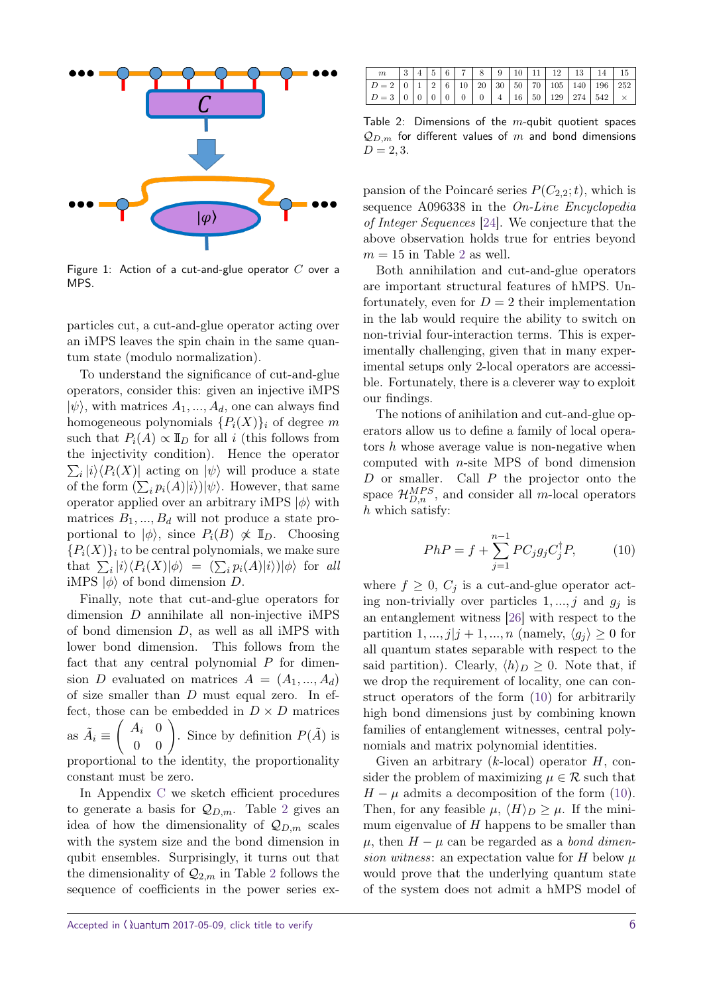

<span id="page-5-0"></span>Figure 1: Action of a cut-and-glue operator *C* over a MPS.

particles cut, a cut-and-glue operator acting over an iMPS leaves the spin chain in the same quantum state (modulo normalization).

To understand the significance of cut-and-glue operators, consider this: given an injective iMPS  $|\psi\rangle$ , with matrices  $A_1, ..., A_d$ , one can always find homogeneous polynomials  ${P_i(X)}_i$  of degree *m* such that  $P_i(A) \propto \mathbb{I}_D$  for all *i* (this follows from the injectivity condition). Hence the operator  $\sum_i |i\rangle\langle P_i(X)|$  acting on  $|\psi\rangle$  will produce a state of the form  $(\sum_i p_i(A)|i\rangle)|\psi\rangle$ . However, that same operator applied over an arbitrary iMPS  $|\phi\rangle$  with matrices  $B_1, ..., B_d$  will not produce a state proportional to  $|\phi\rangle$ , since  $P_i(B) \not\propto \mathbb{I}_D$ . Choosing  ${P_i(X)}_i$  to be central polynomials, we make sure that  $\sum_i |i\rangle\langle P_i(X)|\phi\rangle = (\sum_i p_i(A)|i\rangle)|\phi\rangle$  for all iMPS  $|\phi\rangle$  of bond dimension *D*.

Finally, note that cut-and-glue operators for dimension *D* annihilate all non-injective iMPS of bond dimension *D*, as well as all iMPS with lower bond dimension. This follows from the fact that any central polynomial *P* for dimension *D* evaluated on matrices  $A = (A_1, ..., A_d)$ of size smaller than *D* must equal zero. In effect, those can be embedded in  $D \times D$  matrices as  $\tilde{A}_i \equiv$  $\begin{pmatrix} A_i & 0 \\ 0 & 0 \end{pmatrix}$ . Since by definition  $P(\tilde{A})$  is proportional to the identity, the proportionality constant must be zero.

In Appendix [C](#page-13-0) we sketch efficient procedures to generate a basis for  $\mathcal{Q}_{D,m}$ . Table [2](#page-5-1) gives an idea of how the dimensionality of  $\mathcal{Q}_{D,m}$  scales with the system size and the bond dimension in qubit ensembles. Surprisingly, it turns out that the dimensionality of  $\mathcal{Q}_{2,m}$  $\mathcal{Q}_{2,m}$  $\mathcal{Q}_{2,m}$  in Table 2 follows the sequence of coefficients in the power series ex-

|                                                                                                                         |  |  |  |  |  | $3   4   5   6   7   8   9   10   11   12   13   14   15$ |  |
|-------------------------------------------------------------------------------------------------------------------------|--|--|--|--|--|-----------------------------------------------------------|--|
|                                                                                                                         |  |  |  |  |  |                                                           |  |
| $\mid D=3 \mid 0 \mid 0 \mid 0 \mid 0 \mid 0 \mid 0 \mid 4 \mid 16 \mid 50 \mid 129 \mid 274 \mid 542 \mid \times \mid$ |  |  |  |  |  |                                                           |  |

<span id="page-5-1"></span>Table 2: Dimensions of the *m*-qubit quotient spaces  $Q_{D,m}$  for different values of  $m$  and bond dimensions  $D = 2, 3.$ 

pansion of the Poincaré series  $P(C_{2,2};t)$ , which is sequence A096338 in the On-Line Encyclopedia of Integer Sequences [\[24\]](#page-11-8). We conjecture that the above observation holds true for entries beyond  $m = 15$  in Table [2](#page-5-1) as well.

Both annihilation and cut-and-glue operators are important structural features of hMPS. Unfortunately, even for  $D = 2$  their implementation in the lab would require the ability to switch on non-trivial four-interaction terms. This is experimentally challenging, given that in many experimental setups only 2-local operators are accessible. Fortunately, there is a cleverer way to exploit our findings.

The notions of anihilation and cut-and-glue operators allow us to define a family of local operators *h* whose average value is non-negative when computed with *n*-site MPS of bond dimension *D* or smaller. Call *P* the projector onto the space  $\mathcal{H}_{D,n}^{MPS}$ , and consider all *m*-local operators *h* which satisfy:

<span id="page-5-2"></span>
$$
PhP = f + \sum_{j=1}^{n-1} PC_j g_j C_j^{\dagger} P, \tag{10}
$$

where  $f \geq 0$ ,  $C_j$  is a cut-and-glue operator acting non-trivially over particles  $1, \ldots, j$  and  $q_i$  is an entanglement witness [\[26\]](#page-11-9) with respect to the partition  $1, ..., j | j + 1, ..., n$  (namely,  $\langle g_j \rangle \geq 0$  for all quantum states separable with respect to the said partition). Clearly,  $\langle h \rangle_D > 0$ . Note that, if we drop the requirement of locality, one can construct operators of the form [\(10\)](#page-5-2) for arbitrarily high bond dimensions just by combining known families of entanglement witnesses, central polynomials and matrix polynomial identities.

Given an arbitrary (*k*-local) operator *H*, consider the problem of maximizing  $\mu \in \mathcal{R}$  such that  $H - \mu$  admits a decomposition of the form [\(10\)](#page-5-2). Then, for any feasible  $\mu$ ,  $\langle H \rangle_D \geq \mu$ . If the minimum eigenvalue of *H* happens to be smaller than  $\mu$ , then  $H - \mu$  can be regarded as a *bond dimen*sion witness: an expectation value for *H* below *µ* would prove that the underlying quantum state of the system does not admit a hMPS model of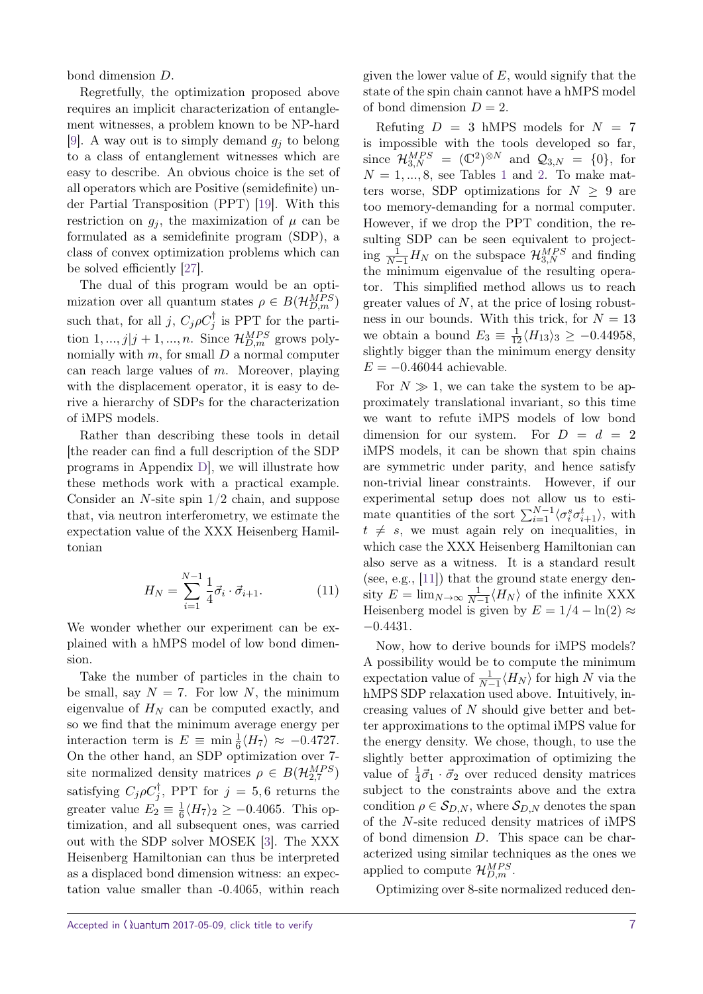bond dimension *D*.

Regretfully, the optimization proposed above requires an implicit characterization of entanglement witnesses, a problem known to be NP-hard [\[9\]](#page-10-10). A way out is to simply demand  $g_i$  to belong to a class of entanglement witnesses which are easy to describe. An obvious choice is the set of all operators which are Positive (semidefinite) under Partial Transposition (PPT) [\[19\]](#page-10-11). With this restriction on  $g_i$ , the maximization of  $\mu$  can be formulated as a semidefinite program (SDP), a class of convex optimization problems which can be solved efficiently [\[27\]](#page-11-4).

The dual of this program would be an optimization over all quantum states  $\rho \in B(\mathcal{H}_{D,m}^{MPS})$ such that, for all *j*,  $C_j \rho C_j^{\dagger}$  is PPT for the partition  $1, ..., j | j + 1, ..., n$ . Since  $\mathcal{H}_{D,m}^{MPS}$  grows polynomially with *m*, for small *D* a normal computer can reach large values of *m*. Moreover, playing with the displacement operator, it is easy to derive a hierarchy of SDPs for the characterization of iMPS models.

Rather than describing these tools in detail [the reader can find a full description of the SDP programs in Appendix [D\]](#page-13-1), we will illustrate how these methods work with a practical example. Consider an *N*-site spin 1/2 chain, and suppose that, via neutron interferometry, we estimate the expectation value of the XXX Heisenberg Hamiltonian

$$
H_N = \sum_{i=1}^{N-1} \frac{1}{4} \vec{\sigma}_i \cdot \vec{\sigma}_{i+1}.
$$
 (11)

We wonder whether our experiment can be explained with a hMPS model of low bond dimension.

Take the number of particles in the chain to be small, say  $N = 7$ . For low N, the minimum eigenvalue of  $H_N$  can be computed exactly, and so we find that the minimum average energy per interaction term is  $E \equiv \min_{\overline{6}} \langle H_7 \rangle \approx -0.4727$ . On the other hand, an SDP optimization over 7 site normalized density matrices  $\rho \in B(\mathcal{H}_{2,7}^{MPS})$ satisfying  $C_j \rho C_j^{\dagger}$ , PPT for  $j = 5, 6$  returns the greater value  $E_2 \equiv \frac{1}{6}$  $\frac{1}{6}\langle H_7 \rangle_2 \ge -0.4065$ . This optimization, and all subsequent ones, was carried out with the SDP solver MOSEK [\[3\]](#page-9-1). The XXX Heisenberg Hamiltonian can thus be interpreted as a displaced bond dimension witness: an expectation value smaller than -0.4065, within reach

given the lower value of *E*, would signify that the state of the spin chain cannot have a hMPS model of bond dimension  $D = 2$ .

Refuting  $D = 3$  hMPS models for  $N = 7$ is impossible with the tools developed so far, since  $\mathcal{H}_{3,N}^{MPS} = (\mathbb{C}^2)^{\otimes N}$  and  $\mathcal{Q}_{3,N} = \{0\}$ , for  $N = 1, \ldots, 8$  $N = 1, \ldots, 8$  $N = 1, \ldots, 8$ , see Tables 1 and [2.](#page-5-1) To make matters worse, SDP optimizations for  $N > 9$  are too memory-demanding for a normal computer. However, if we drop the PPT condition, the resulting SDP can be seen equivalent to projecting  $\frac{1}{N-1}H_N$  on the subspace  $\mathcal{H}_{3,N}^{MPS}$  and finding the minimum eigenvalue of the resulting operator. This simplified method allows us to reach greater values of *N*, at the price of losing robustness in our bounds. With this trick, for  $N = 13$ we obtain a bound  $E_3 \equiv \frac{1}{12} \langle H_{13} \rangle_3 \ge -0.44958$ , slightly bigger than the minimum energy density  $E = -0.46044$  achievable.

For  $N \gg 1$ , we can take the system to be approximately translational invariant, so this time we want to refute iMPS models of low bond dimension for our system. For  $D = d = 2$ iMPS models, it can be shown that spin chains are symmetric under parity, and hence satisfy non-trivial linear constraints. However, if our experimental setup does not allow us to estimate quantities of the sort  $\sum_{i=1}^{N-1} \langle \sigma_i^s \sigma_{i+1}^t \rangle$ , with  $t \neq s$ , we must again rely on inequalities, in which case the XXX Heisenberg Hamiltonian can also serve as a witness. It is a standard result (see, e.g., [\[11\]](#page-10-12)) that the ground state energy density  $E = \lim_{N \to \infty} \frac{1}{N-1} \langle H_N \rangle$  of the infinite XXX Heisenberg model is given by  $E = 1/4 - \ln(2) \approx$ −0*.*4431.

Now, how to derive bounds for iMPS models? A possibility would be to compute the minimum expectation value of  $\frac{1}{N-1} \langle H_N \rangle$  for high *N* via the hMPS SDP relaxation used above. Intuitively, increasing values of *N* should give better and better approximations to the optimal iMPS value for the energy density. We chose, though, to use the slightly better approximation of optimizing the value of  $\frac{1}{4}\vec{\sigma}_1 \cdot \vec{\sigma}_2$  over reduced density matrices subject to the constraints above and the extra condition  $\rho \in S_{D,N}$ , where  $S_{D,N}$  denotes the span of the *N*-site reduced density matrices of iMPS of bond dimension *D*. This space can be characterized using similar techniques as the ones we applied to compute  $\mathcal{H}_{D,m}^{MPS}$ .

Optimizing over 8-site normalized reduced den-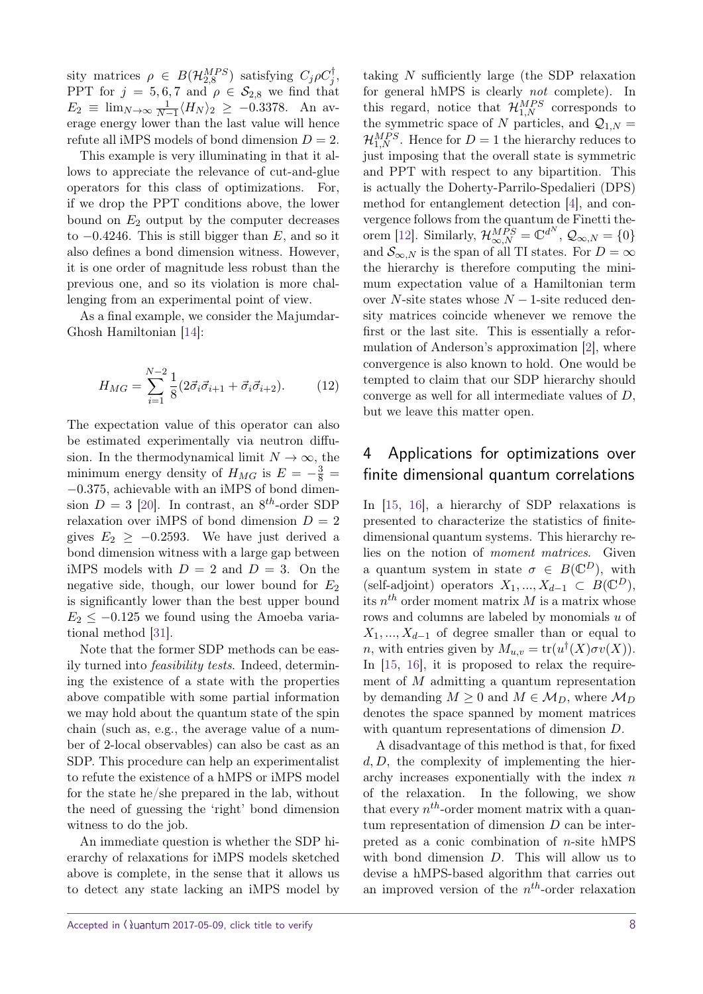sity matrices  $\rho \in B(\mathcal{H}_{2,8}^{MPS})$  satisfying  $C_j \rho C_j^{\dagger}$ , PPT for  $j = 5, 6, 7$  and  $\rho \in S_{2,8}$  we find that  $E_2 \equiv \lim_{N \to \infty} \frac{1}{N-1} \langle H_N \rangle_2 \ge -0.3378$ . An average energy lower than the last value will hence refute all iMPS models of bond dimension  $D = 2$ .

This example is very illuminating in that it allows to appreciate the relevance of cut-and-glue operators for this class of optimizations. For, if we drop the PPT conditions above, the lower bound on  $E_2$  output by the computer decreases to −0*.*4246. This is still bigger than *E*, and so it also defines a bond dimension witness. However, it is one order of magnitude less robust than the previous one, and so its violation is more challenging from an experimental point of view.

As a final example, we consider the Majumdar-Ghosh Hamiltonian [\[14\]](#page-10-13):

$$
H_{MG} = \sum_{i=1}^{N-2} \frac{1}{8} (2\vec{\sigma}_i \vec{\sigma}_{i+1} + \vec{\sigma}_i \vec{\sigma}_{i+2}).
$$
 (12)

The expectation value of this operator can also be estimated experimentally via neutron diffusion. In the thermodynamical limit  $N \to \infty$ , the minimum energy density of  $H_{MG}$  is  $E = -\frac{3}{8}$ −0*.*375, achievable with an iMPS of bond dimension  $D = 3$  [\[20\]](#page-10-5). In contrast, an  $8^{th}$ -order SDP relaxation over iMPS of bond dimension  $D = 2$ gives  $E_2 \ge -0.2593$ . We have just derived a bond dimension witness with a large gap between iMPS models with  $D = 2$  and  $D = 3$ . On the negative side, though, our lower bound for *E*<sup>2</sup> is significantly lower than the best upper bound  $E_2 \leq -0.125$  we found using the Amoeba variational method [\[31\]](#page-11-10).

Note that the former SDP methods can be easily turned into feasibility tests. Indeed, determining the existence of a state with the properties above compatible with some partial information we may hold about the quantum state of the spin chain (such as, e.g., the average value of a number of 2-local observables) can also be cast as an SDP. This procedure can help an experimentalist to refute the existence of a hMPS or iMPS model for the state he/she prepared in the lab, without the need of guessing the 'right' bond dimension witness to do the job.

An immediate question is whether the SDP hierarchy of relaxations for iMPS models sketched above is complete, in the sense that it allows us to detect any state lacking an iMPS model by

taking *N* sufficiently large (the SDP relaxation for general hMPS is clearly not complete). In this regard, notice that  $\mathcal{H}_{1,N}^{MPS}$  corresponds to the symmetric space of *N* particles, and  $Q_{1,N}$  =  $\mathcal{H}_{1,N}^{MPS}$ . Hence for  $D=1$  the hierarchy reduces to just imposing that the overall state is symmetric and PPT with respect to any bipartition. This is actually the Doherty-Parrilo-Spedalieri (DPS) method for entanglement detection [\[4\]](#page-10-14), and convergence follows from the quantum de Finetti the-orem [\[12\]](#page-10-15). Similarly,  $\mathcal{H}_{\infty,N}^{MPS} = \mathbb{C}^{d^N}$ ,  $\mathcal{Q}_{\infty,N} = \{0\}$ and  $S_{\infty,N}$  is the span of all TI states. For  $D=\infty$ the hierarchy is therefore computing the minimum expectation value of a Hamiltonian term over *N*-site states whose *N* − 1-site reduced density matrices coincide whenever we remove the first or the last site. This is essentially a reformulation of Anderson's approximation [\[2\]](#page-9-2), where convergence is also known to hold. One would be tempted to claim that our SDP hierarchy should converge as well for all intermediate values of *D*, but we leave this matter open.

# 4 Applications for optimizations over finite dimensional quantum correlations

In [\[15,](#page-10-6) [16\]](#page-10-7), a hierarchy of SDP relaxations is presented to characterize the statistics of finitedimensional quantum systems. This hierarchy relies on the notion of moment matrices. Given a quantum system in state  $\sigma \in B(\mathbb{C}^D)$ , with (self-adjoint) operators  $X_1, ..., X_{d-1} \subset B(\mathbb{C}^D)$ , its  $n^{th}$  order moment matrix  $M$  is a matrix whose rows and columns are labeled by monomials *u* of  $X_1, \ldots, X_{d-1}$  of degree smaller than or equal to *n*, with entries given by  $M_{u,v} = \text{tr}(u^{\dagger}(X)\sigma v(X)).$ In  $[15, 16]$  $[15, 16]$  $[15, 16]$ , it is proposed to relax the requirement of *M* admitting a quantum representation by demanding  $M \geq 0$  and  $M \in \mathcal{M}_D$ , where  $\mathcal{M}_D$ denotes the space spanned by moment matrices with quantum representations of dimension *D*.

A disadvantage of this method is that, for fixed *d, D*, the complexity of implementing the hierarchy increases exponentially with the index *n* of the relaxation. In the following, we show that every  $n^{th}$ -order moment matrix with a quantum representation of dimension *D* can be interpreted as a conic combination of *n*-site hMPS with bond dimension *D*. This will allow us to devise a hMPS-based algorithm that carries out an improved version of the *n th*-order relaxation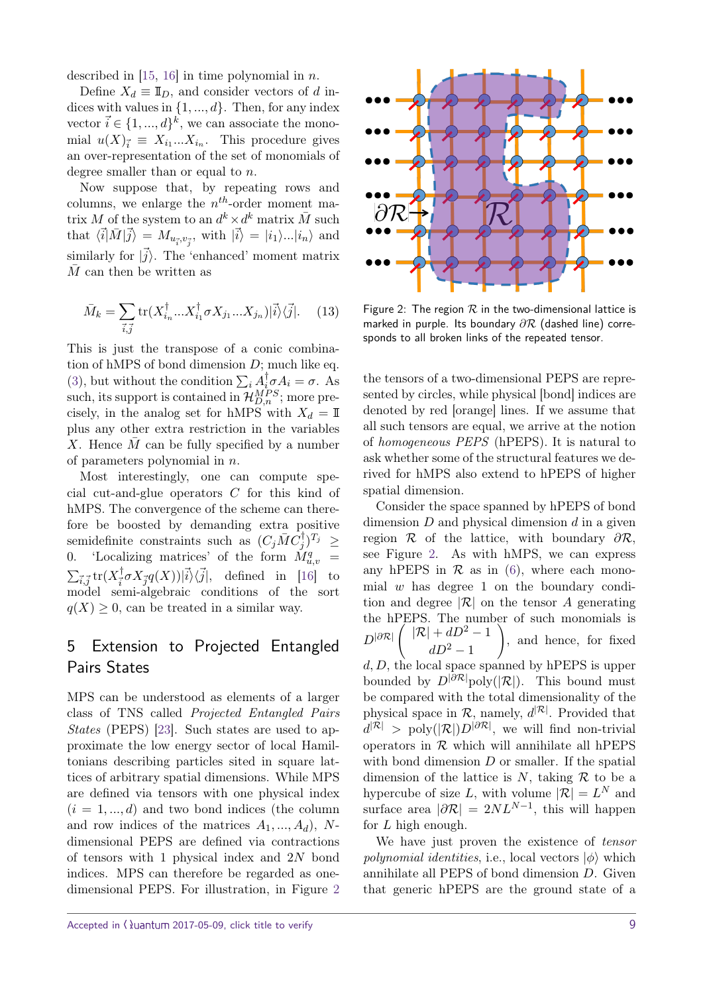described in [\[15,](#page-10-6) [16\]](#page-10-7) in time polynomial in *n*.

Define  $X_d \equiv \mathbb{I}_D$ , and consider vectors of *d* indices with values in {1*, ..., d*}. Then, for any index vector  $\vec{i} \in \{1, ..., d\}^k$ , we can associate the monomial  $u(X)_{\vec{i}} \equiv X_{i_1}...X_{i_n}$ . This procedure gives an over-representation of the set of monomials of degree smaller than or equal to *n*.

Now suppose that, by repeating rows and columns, we enlarge the *n th*-order moment matrix *M* of the system to an  $d^k \times d^k$  matrix  $\overline{M}$  such that  $\langle \vec{i} | \vec{M} | \vec{j} \rangle = M_{u_{\vec{i}}, v_{\vec{j}}},$  with  $| \vec{i} \rangle = |i_1\rangle ... |i_n\rangle$  and similarly for  $|\vec{j}\rangle$ . The 'enhanced' moment matrix *M* can then be written as

$$
\bar{M}_k = \sum_{\vec{i}, \vec{j}} \text{tr}(X_{i_n}^\dagger ... X_{i_1}^\dagger \sigma X_{j_1} ... X_{j_n}) |\vec{i}\rangle\langle\vec{j}|. \tag{13}
$$

This is just the transpose of a conic combination of hMPS of bond dimension *D*; much like eq. [\(3\)](#page-2-2), but without the condition  $\sum_i A_i^{\dagger} \sigma A_i = \sigma$ . As such, its support is contained in  $\mathcal{H}_{D,n}^{MPS}$ ; more precisely, in the analog set for hMPS with  $X_d = \mathbb{I}$ plus any other extra restriction in the variables X. Hence  $\overline{M}$  can be fully specified by a number of parameters polynomial in *n*.

Most interestingly, one can compute special cut-and-glue operators *C* for this kind of hMPS. The convergence of the scheme can therefore be boosted by demanding extra positive  $\frac{1}{2}$  semidefinite constraints such as  $(C_j \overline{M} C_j^{\dagger})^{T_j} \geq$ 0. 'Localizing matrices' of the form  $\dot{M}^q_{u,v}$  =  $\sum_{\vec{i},\vec{j}}\mathrm{tr}(X^\dagger_{\vec{i}} %Mathcal{I}_{\vec{j}})$  $\frac{1}{i}\sigma X_{\vec{j}}q(X)|\vec{i}\rangle\langle\vec{j}|,$  defined in [\[16\]](#page-10-7) to model semi-algebraic conditions of the sort  $q(X) \geq 0$ , can be treated in a similar way.

# 5 Extension to Projected Entangled Pairs States

MPS can be understood as elements of a larger class of TNS called Projected Entangled Pairs States (PEPS) [\[23\]](#page-11-0). Such states are used to approximate the low energy sector of local Hamiltonians describing particles sited in square lattices of arbitrary spatial dimensions. While MPS are defined via tensors with one physical index  $(i = 1, ..., d)$  and two bond indices (the column and row indices of the matrices *A*1*, ..., Ad*), *N*dimensional PEPS are defined via contractions of tensors with 1 physical index and 2*N* bond indices. MPS can therefore be regarded as onedimensional PEPS. For illustration, in Figure [2](#page-8-0)



<span id="page-8-0"></span>Figure 2: The region  $R$  in the two-dimensional lattice is marked in purple. Its boundary *∂*R (dashed line) corresponds to all broken links of the repeated tensor.

the tensors of a two-dimensional PEPS are represented by circles, while physical [bond] indices are denoted by red [orange] lines. If we assume that all such tensors are equal, we arrive at the notion of homogeneous PEPS (hPEPS). It is natural to ask whether some of the structural features we derived for hMPS also extend to hPEPS of higher spatial dimension.

Consider the space spanned by hPEPS of bond dimension *D* and physical dimension *d* in a given region R of the lattice, with boundary *∂*R, see Figure [2.](#page-8-0) As with hMPS, we can express any hPEPS in  $\mathcal R$  as in [\(6\)](#page-3-2), where each monomial *w* has degree 1 on the boundary condition and degree  $|\mathcal{R}|$  on the tensor A generating the hPEPS. The number of such monomials is  $D^{|\partial \mathcal{R}|}\left( \begin{array}{c} |\mathcal{R}|+dD^2-1 \end{array} \right)$ *dD*<sup>2</sup> − 1  $\setminus$ , and hence, for fixed *d, D*, the local space spanned by hPEPS is upper bounded by  $D^{|\partial \mathcal{R}|}$ poly(|R|). This bound must be compared with the total dimensionality of the physical space in  $\mathcal{R}$ , namely,  $d^{|\mathcal{R}|}$ . Provided that  $d^{|\mathcal{R}|}$  > poly $(|\mathcal{R}|)D^{|\partial \mathcal{R}|}$ , we will find non-trivial operators in  $R$  which will annihilate all hPEPS with bond dimension *D* or smaller. If the spatial dimension of the lattice is  $N$ , taking  $\mathcal R$  to be a hypercube of size L, with volume  $|\mathcal{R}| = L^N$  and surface area  $|\partial \mathcal{R}| = 2NL^{N-1}$ , this will happen for *L* high enough.

We have just proven the existence of *tensor polynomial identities, i.e., local vectors*  $|\phi\rangle$  which annihilate all PEPS of bond dimension *D*. Given that generic hPEPS are the ground state of a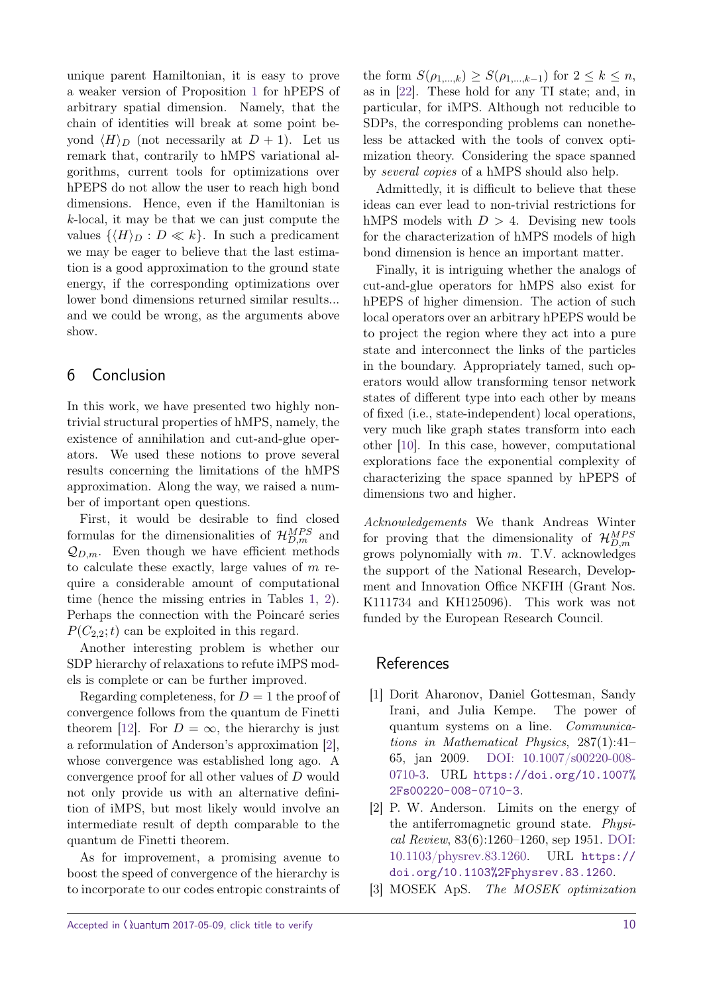unique parent Hamiltonian, it is easy to prove a weaker version of Proposition [1](#page-4-1) for hPEPS of arbitrary spatial dimension. Namely, that the chain of identities will break at some point beyond  $\langle H \rangle_D$  (not necessarily at  $D + 1$ ). Let us remark that, contrarily to hMPS variational algorithms, current tools for optimizations over hPEPS do not allow the user to reach high bond dimensions. Hence, even if the Hamiltonian is *k*-local, it may be that we can just compute the values  $\{\langle H \rangle_D : D \ll k\}$ . In such a predicament we may be eager to believe that the last estimation is a good approximation to the ground state energy, if the corresponding optimizations over lower bond dimensions returned similar results... and we could be wrong, as the arguments above show.

### 6 Conclusion

In this work, we have presented two highly nontrivial structural properties of hMPS, namely, the existence of annihilation and cut-and-glue operators. We used these notions to prove several results concerning the limitations of the hMPS approximation. Along the way, we raised a number of important open questions.

First, it would be desirable to find closed formulas for the dimensionalities of  $\mathcal{H}_{D,m}^{MPS}$  and  $\mathcal{Q}_{D,m}$ . Even though we have efficient methods to calculate these exactly, large values of *m* require a considerable amount of computational time (hence the missing entries in Tables [1,](#page-4-0) [2\)](#page-5-1). Perhaps the connection with the Poincaré series  $P(C_{2,2};t)$  can be exploited in this regard.

Another interesting problem is whether our SDP hierarchy of relaxations to refute iMPS models is complete or can be further improved.

Regarding completeness, for  $D = 1$  the proof of convergence follows from the quantum de Finetti theorem [\[12\]](#page-10-15). For  $D = \infty$ , the hierarchy is just a reformulation of Anderson's approximation [\[2\]](#page-9-2), whose convergence was established long ago. A convergence proof for all other values of *D* would not only provide us with an alternative definition of iMPS, but most likely would involve an intermediate result of depth comparable to the quantum de Finetti theorem.

As for improvement, a promising avenue to boost the speed of convergence of the hierarchy is to incorporate to our codes entropic constraints of the form  $S(\rho_{1,...,k}) \geq S(\rho_{1,...,k-1})$  for  $2 \leq k \leq n$ , as in [\[22\]](#page-11-11). These hold for any TI state; and, in particular, for iMPS. Although not reducible to SDPs, the corresponding problems can nonetheless be attacked with the tools of convex optimization theory. Considering the space spanned by several copies of a hMPS should also help.

Admittedly, it is difficult to believe that these ideas can ever lead to non-trivial restrictions for hMPS models with  $D > 4$ . Devising new tools for the characterization of hMPS models of high bond dimension is hence an important matter.

Finally, it is intriguing whether the analogs of cut-and-glue operators for hMPS also exist for hPEPS of higher dimension. The action of such local operators over an arbitrary hPEPS would be to project the region where they act into a pure state and interconnect the links of the particles in the boundary. Appropriately tamed, such operators would allow transforming tensor network states of different type into each other by means of fixed (i.e., state-independent) local operations, very much like graph states transform into each other [\[10\]](#page-10-16). In this case, however, computational explorations face the exponential complexity of characterizing the space spanned by hPEPS of dimensions two and higher.

Acknowledgements We thank Andreas Winter for proving that the dimensionality of  $\mathcal{H}_{D,m}^{MPS}$ grows polynomially with *m*. T.V. acknowledges the support of the National Research, Development and Innovation Office NKFIH (Grant Nos. K111734 and KH125096). This work was not funded by the European Research Council.

### References

- <span id="page-9-0"></span>[1] Dorit Aharonov, Daniel Gottesman, Sandy Irani, and Julia Kempe. The power of quantum systems on a line. Communications in Mathematical Physics, 287(1):41– 65, jan 2009. [DOI: 10.1007/s00220-008-](https://doi.org/10.1007/s00220-008-0710-3) [0710-3.](https://doi.org/10.1007/s00220-008-0710-3) URL [https://doi.org/10.1007%](https://doi.org/10.1007%2Fs00220-008-0710-3) [2Fs00220-008-0710-3](https://doi.org/10.1007%2Fs00220-008-0710-3).
- <span id="page-9-2"></span>[2] P. W. Anderson. Limits on the energy of the antiferromagnetic ground state. Physical Review, 83(6):1260–1260, sep 1951. [DOI:](https://doi.org/10.1103/physrev.83.1260) [10.1103/physrev.83.1260.](https://doi.org/10.1103/physrev.83.1260) URL [https://](https://doi.org/10.1103%2Fphysrev.83.1260) [doi.org/10.1103%2Fphysrev.83.1260](https://doi.org/10.1103%2Fphysrev.83.1260).
- <span id="page-9-1"></span>[3] MOSEK ApS. The MOSEK optimization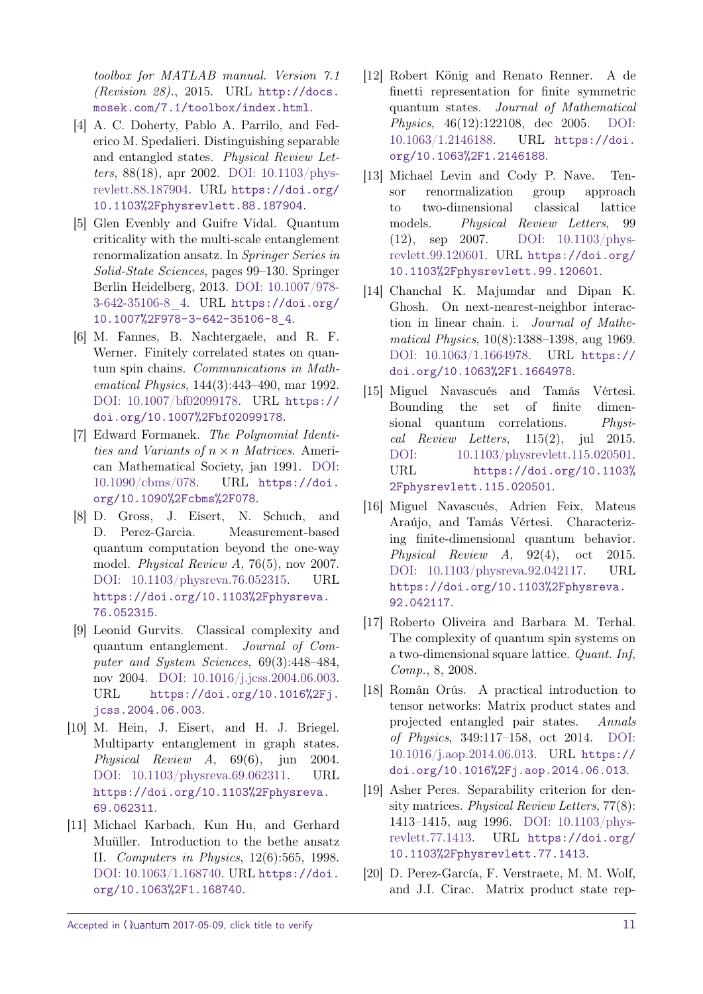toolbox for MATLAB manual. Version 7.1 (Revision 28)., 2015. URL [http://docs.](http://docs.mosek.com/7.1/toolbox/index.html) [mosek.com/7.1/toolbox/index.html](http://docs.mosek.com/7.1/toolbox/index.html).

- <span id="page-10-14"></span>[4] A. C. Doherty, Pablo A. Parrilo, and Federico M. Spedalieri. Distinguishing separable and entangled states. Physical Review Letters, 88(18), apr 2002. [DOI: 10.1103/phys](https://doi.org/10.1103/physrevlett.88.187904)[revlett.88.187904.](https://doi.org/10.1103/physrevlett.88.187904) URL [https://doi.org/](https://doi.org/10.1103%2Fphysrevlett.88.187904) [10.1103%2Fphysrevlett.88.187904](https://doi.org/10.1103%2Fphysrevlett.88.187904).
- <span id="page-10-2"></span>[5] Glen Evenbly and Guifre Vidal. Quantum criticality with the multi-scale entanglement renormalization ansatz. In Springer Series in Solid-State Sciences, pages 99–130. Springer Berlin Heidelberg, 2013. [DOI: 10.1007/978-](https://doi.org/10.1007/978-3-642-35106-8_4) [3-642-35106-8\\_4.](https://doi.org/10.1007/978-3-642-35106-8_4) URL [https://doi.org/](https://doi.org/10.1007%2F978-3-642-35106-8_4) [10.1007%2F978-3-642-35106-8\\_4](https://doi.org/10.1007%2F978-3-642-35106-8_4).
- <span id="page-10-3"></span>[6] M. Fannes, B. Nachtergaele, and R. F. Werner. Finitely correlated states on quantum spin chains. Communications in Mathematical Physics, 144(3):443–490, mar 1992. [DOI: 10.1007/bf02099178.](https://doi.org/10.1007/bf02099178) URL [https://](https://doi.org/10.1007%2Fbf02099178) [doi.org/10.1007%2Fbf02099178](https://doi.org/10.1007%2Fbf02099178).
- <span id="page-10-8"></span>[7] Edward Formanek. The Polynomial Identities and Variants of *n* × *n* Matrices. American Mathematical Society, jan 1991. [DOI:](https://doi.org/10.1090/cbms/078) [10.1090/cbms/078.](https://doi.org/10.1090/cbms/078) URL [https://doi.](https://doi.org/10.1090%2Fcbms%2F078) [org/10.1090%2Fcbms%2F078](https://doi.org/10.1090%2Fcbms%2F078).
- <span id="page-10-9"></span>[8] D. Gross, J. Eisert, N. Schuch, and D. Perez-Garcia. Measurement-based quantum computation beyond the one-way model. Physical Review A, 76(5), nov 2007. [DOI: 10.1103/physreva.76.052315.](https://doi.org/10.1103/physreva.76.052315) URL [https://doi.org/10.1103%2Fphysreva.](https://doi.org/10.1103%2Fphysreva.76.052315) [76.052315](https://doi.org/10.1103%2Fphysreva.76.052315).
- <span id="page-10-10"></span>[9] Leonid Gurvits. Classical complexity and quantum entanglement. Journal of Computer and System Sciences, 69(3):448–484, nov 2004. [DOI: 10.1016/j.jcss.2004.06.003.](https://doi.org/10.1016/j.jcss.2004.06.003) URL [https://doi.org/10.1016%2Fj.](https://doi.org/10.1016%2Fj.jcss.2004.06.003) [jcss.2004.06.003](https://doi.org/10.1016%2Fj.jcss.2004.06.003).
- <span id="page-10-16"></span>[10] M. Hein, J. Eisert, and H. J. Briegel. Multiparty entanglement in graph states. Physical Review A, 69(6), jun 2004. [DOI: 10.1103/physreva.69.062311.](https://doi.org/10.1103/physreva.69.062311) URL [https://doi.org/10.1103%2Fphysreva.](https://doi.org/10.1103%2Fphysreva.69.062311) [69.062311](https://doi.org/10.1103%2Fphysreva.69.062311).
- <span id="page-10-12"></span>[11] Michael Karbach, Kun Hu, and Gerhard Muüller. Introduction to the bethe ansatz II. Computers in Physics, 12(6):565, 1998. [DOI: 10.1063/1.168740.](https://doi.org/10.1063/1.168740) URL [https://doi.](https://doi.org/10.1063%2F1.168740) [org/10.1063%2F1.168740](https://doi.org/10.1063%2F1.168740).
- <span id="page-10-15"></span>[12] Robert König and Renato Renner. A de finetti representation for finite symmetric quantum states. Journal of Mathematical Physics, 46(12):122108, dec 2005. [DOI:](https://doi.org/10.1063/1.2146188) [10.1063/1.2146188.](https://doi.org/10.1063/1.2146188) URL [https://doi.](https://doi.org/10.1063%2F1.2146188) [org/10.1063%2F1.2146188](https://doi.org/10.1063%2F1.2146188).
- <span id="page-10-4"></span>[13] Michael Levin and Cody P. Nave. Tensor renormalization group approach to two-dimensional classical lattice models. Physical Review Letters, 99 (12), sep 2007. [DOI: 10.1103/phys](https://doi.org/10.1103/physrevlett.99.120601)[revlett.99.120601.](https://doi.org/10.1103/physrevlett.99.120601) URL [https://doi.org/](https://doi.org/10.1103%2Fphysrevlett.99.120601) [10.1103%2Fphysrevlett.99.120601](https://doi.org/10.1103%2Fphysrevlett.99.120601).
- <span id="page-10-13"></span>[14] Chanchal K. Majumdar and Dipan K. Ghosh. On next-nearest-neighbor interaction in linear chain. i. Journal of Mathematical Physics, 10(8):1388–1398, aug 1969. [DOI: 10.1063/1.1664978.](https://doi.org/10.1063/1.1664978) URL [https://](https://doi.org/10.1063%2F1.1664978) [doi.org/10.1063%2F1.1664978](https://doi.org/10.1063%2F1.1664978).
- <span id="page-10-6"></span>[15] Miguel Navascués and Tamás Vértesi. Bounding the set of finite dimensional quantum correlations. *Physi*cal Review Letters,  $115(2)$ , jul 2015. [DOI: 10.1103/physrevlett.115.020501.](https://doi.org/10.1103/physrevlett.115.020501) URL [https://doi.org/10.1103%](https://doi.org/10.1103%2Fphysrevlett.115.020501) [2Fphysrevlett.115.020501](https://doi.org/10.1103%2Fphysrevlett.115.020501).
- <span id="page-10-7"></span>[16] Miguel Navascués, Adrien Feix, Mateus Araújo, and Tamás Vértesi. Characterizing finite-dimensional quantum behavior. Physical Review A, 92(4), oct 2015. [DOI: 10.1103/physreva.92.042117.](https://doi.org/10.1103/physreva.92.042117) URL [https://doi.org/10.1103%2Fphysreva.](https://doi.org/10.1103%2Fphysreva.92.042117) [92.042117](https://doi.org/10.1103%2Fphysreva.92.042117).
- <span id="page-10-0"></span>[17] Roberto Oliveira and Barbara M. Terhal. The complexity of quantum spin systems on a two-dimensional square lattice. Quant. Inf, Comp., 8, 2008.
- <span id="page-10-1"></span>[18] Román Orús. A practical introduction to tensor networks: Matrix product states and projected entangled pair states. Annals of Physics, 349:117–158, oct 2014. [DOI:](https://doi.org/10.1016/j.aop.2014.06.013) [10.1016/j.aop.2014.06.013.](https://doi.org/10.1016/j.aop.2014.06.013) URL [https://](https://doi.org/10.1016%2Fj.aop.2014.06.013) [doi.org/10.1016%2Fj.aop.2014.06.013](https://doi.org/10.1016%2Fj.aop.2014.06.013).
- <span id="page-10-11"></span>[19] Asher Peres. Separability criterion for density matrices. Physical Review Letters, 77(8): 1413–1415, aug 1996. [DOI: 10.1103/phys](https://doi.org/10.1103/physrevlett.77.1413)[revlett.77.1413.](https://doi.org/10.1103/physrevlett.77.1413) URL [https://doi.org/](https://doi.org/10.1103%2Fphysrevlett.77.1413) [10.1103%2Fphysrevlett.77.1413](https://doi.org/10.1103%2Fphysrevlett.77.1413).
- <span id="page-10-5"></span>[20] D. Perez-García, F. Verstraete, M. M. Wolf, and J.I. Cirac. Matrix product state rep-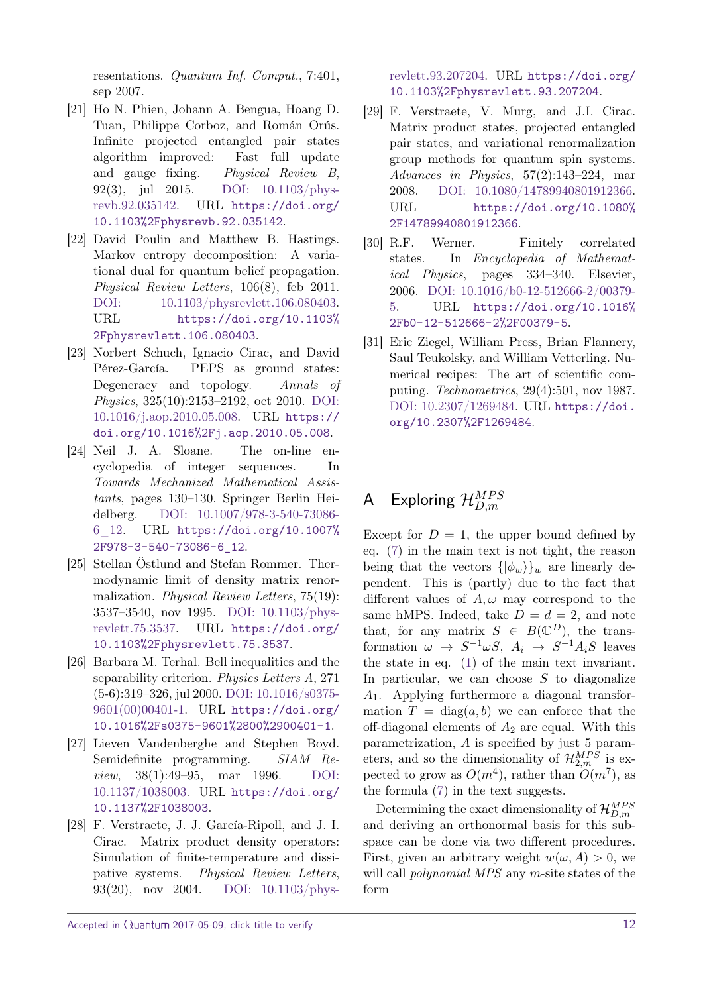resentations. Quantum Inf. Comput., 7:401, sep 2007.

- <span id="page-11-3"></span>[21] Ho N. Phien, Johann A. Bengua, Hoang D. Tuan, Philippe Corboz, and Román Orús. Infinite projected entangled pair states algorithm improved: Fast full update and gauge fixing. Physical Review B, 92(3), jul 2015. [DOI: 10.1103/phys](https://doi.org/10.1103/physrevb.92.035142)[revb.92.035142.](https://doi.org/10.1103/physrevb.92.035142) URL [https://doi.org/](https://doi.org/10.1103%2Fphysrevb.92.035142) [10.1103%2Fphysrevb.92.035142](https://doi.org/10.1103%2Fphysrevb.92.035142).
- <span id="page-11-11"></span>[22] David Poulin and Matthew B. Hastings. Markov entropy decomposition: A variational dual for quantum belief propagation. Physical Review Letters, 106(8), feb 2011. [DOI: 10.1103/physrevlett.106.080403.](https://doi.org/10.1103/physrevlett.106.080403) URL [https://doi.org/10.1103%](https://doi.org/10.1103%2Fphysrevlett.106.080403) [2Fphysrevlett.106.080403](https://doi.org/10.1103%2Fphysrevlett.106.080403).
- <span id="page-11-0"></span>[23] Norbert Schuch, Ignacio Cirac, and David Pérez-García. PEPS as ground states: Degeneracy and topology. Annals of Physics, 325(10):2153–2192, oct 2010. [DOI:](https://doi.org/10.1016/j.aop.2010.05.008) [10.1016/j.aop.2010.05.008.](https://doi.org/10.1016/j.aop.2010.05.008) URL [https://](https://doi.org/10.1016%2Fj.aop.2010.05.008) [doi.org/10.1016%2Fj.aop.2010.05.008](https://doi.org/10.1016%2Fj.aop.2010.05.008).
- <span id="page-11-8"></span>[24] Neil J. A. Sloane. The on-line encyclopedia of integer sequences. In Towards Mechanized Mathematical Assistants, pages 130–130. Springer Berlin Heidelberg. [DOI: 10.1007/978-3-540-73086-](https://doi.org/10.1007/978-3-540-73086-6_12) [6\\_12.](https://doi.org/10.1007/978-3-540-73086-6_12) URL [https://doi.org/10.1007%](https://doi.org/10.1007%2F978-3-540-73086-6_12) [2F978-3-540-73086-6\\_12](https://doi.org/10.1007%2F978-3-540-73086-6_12).
- <span id="page-11-2"></span>[25] Stellan Östlund and Stefan Rommer. Thermodynamic limit of density matrix renormalization. Physical Review Letters, 75(19): 3537–3540, nov 1995. [DOI: 10.1103/phys](https://doi.org/10.1103/physrevlett.75.3537)[revlett.75.3537.](https://doi.org/10.1103/physrevlett.75.3537) URL [https://doi.org/](https://doi.org/10.1103%2Fphysrevlett.75.3537) [10.1103%2Fphysrevlett.75.3537](https://doi.org/10.1103%2Fphysrevlett.75.3537).
- <span id="page-11-9"></span>[26] Barbara M. Terhal. Bell inequalities and the separability criterion. Physics Letters A, 271 (5-6):319–326, jul 2000. [DOI: 10.1016/s0375-](https://doi.org/10.1016/s0375-9601(00)00401-1) [9601\(00\)00401-1.](https://doi.org/10.1016/s0375-9601(00)00401-1) URL [https://doi.org/](https://doi.org/10.1016%2Fs0375-9601%2800%2900401-1) [10.1016%2Fs0375-9601%2800%2900401-1](https://doi.org/10.1016%2Fs0375-9601%2800%2900401-1).
- <span id="page-11-4"></span>[27] Lieven Vandenberghe and Stephen Boyd. Semidefinite programming. SIAM Review, 38(1):49–95, mar 1996. [DOI:](https://doi.org/10.1137/1038003) [10.1137/1038003.](https://doi.org/10.1137/1038003) URL [https://doi.org/](https://doi.org/10.1137%2F1038003) [10.1137%2F1038003](https://doi.org/10.1137%2F1038003).
- <span id="page-11-7"></span>[28] F. Verstraete, J. J. García-Ripoll, and J. I. Cirac. Matrix product density operators: Simulation of finite-temperature and dissipative systems. Physical Review Letters, 93(20), nov 2004. [DOI: 10.1103/phys-](https://doi.org/10.1103/physrevlett.93.207204)

[revlett.93.207204.](https://doi.org/10.1103/physrevlett.93.207204) URL [https://doi.org/](https://doi.org/10.1103%2Fphysrevlett.93.207204) [10.1103%2Fphysrevlett.93.207204](https://doi.org/10.1103%2Fphysrevlett.93.207204).

- <span id="page-11-1"></span>[29] F. Verstraete, V. Murg, and J.I. Cirac. Matrix product states, projected entangled pair states, and variational renormalization group methods for quantum spin systems. Advances in Physics, 57(2):143–224, mar 2008. [DOI: 10.1080/14789940801912366.](https://doi.org/10.1080/14789940801912366) URL [https://doi.org/10.1080%](https://doi.org/10.1080%2F14789940801912366) [2F14789940801912366](https://doi.org/10.1080%2F14789940801912366).
- <span id="page-11-5"></span>[30] R.F. Werner. Finitely correlated states. In Encyclopedia of Mathematical Physics, pages 334–340. Elsevier, 2006. [DOI: 10.1016/b0-12-512666-2/00379-](https://doi.org/10.1016/b0-12-512666-2/00379-5) [5.](https://doi.org/10.1016/b0-12-512666-2/00379-5) URL [https://doi.org/10.1016%](https://doi.org/10.1016%2Fb0-12-512666-2%2F00379-5) [2Fb0-12-512666-2%2F00379-5](https://doi.org/10.1016%2Fb0-12-512666-2%2F00379-5).
- <span id="page-11-10"></span>[31] Eric Ziegel, William Press, Brian Flannery, Saul Teukolsky, and William Vetterling. Numerical recipes: The art of scientific computing. Technometrics, 29(4):501, nov 1987. [DOI: 10.2307/1269484.](https://doi.org/10.2307/1269484) URL [https://doi.](https://doi.org/10.2307%2F1269484) [org/10.2307%2F1269484](https://doi.org/10.2307%2F1269484).

# <span id="page-11-6"></span>A Exploring  $\mathcal{H}_{D,m}^{MPS}$

Except for  $D = 1$ , the upper bound defined by eq. [\(7\)](#page-3-1) in the main text is not tight, the reason being that the vectors  $\{|\phi_w\rangle\}_w$  are linearly dependent. This is (partly) due to the fact that different values of  $A, \omega$  may correspond to the same hMPS. Indeed, take  $D = d = 2$ , and note that, for any matrix  $S \in B(\mathbb{C}^D)$ , the transformation  $\omega \to S^{-1}\omega S$ ,  $A_i \to S^{-1}A_iS$  leaves the state in eq. [\(1\)](#page-2-0) of the main text invariant. In particular, we can choose *S* to diagonalize *A*1. Applying furthermore a diagonal transformation  $T = diag(a, b)$  we can enforce that the off-diagonal elements of *A*<sup>2</sup> are equal. With this parametrization, *A* is specified by just 5 parameters, and so the dimensionality of  $\mathcal{H}_{2,m}^{MPS}$  is expected to grow as  $O(m^4)$ , rather than  $O(m^7)$ , as the formula [\(7\)](#page-3-1) in the text suggests.

Determining the exact dimensionality of  $\mathcal{H}_{D,m}^{MPS}$ and deriving an orthonormal basis for this subspace can be done via two different procedures. First, given an arbitrary weight  $w(\omega, A) > 0$ , we will call polynomial MPS any *m*-site states of the form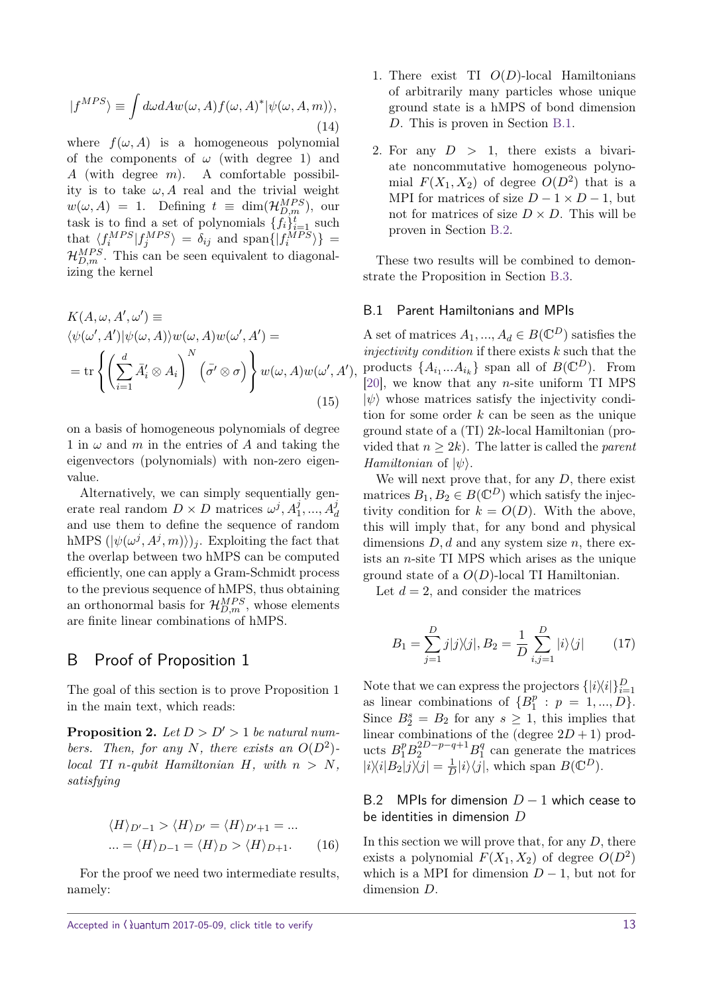$$
|f^{MPS}\rangle \equiv \int d\omega dA w(\omega, A) f(\omega, A)^* |\psi(\omega, A, m)\rangle, \tag{14}
$$

where  $f(\omega, A)$  is a homogeneous polynomial of the components of  $\omega$  (with degree 1) and *A* (with degree *m*). A comfortable possibility is to take  $\omega$ , A real and the trivial weight  $w(\omega, A) = 1$ . Defining  $t \equiv \dim(\mathcal{H}_{D,m}^{MPS})$ , our task is to find a set of polynomials  $\{f_i\}_{i=1}^t$  such that  $\langle f_i^{MPS} | f_j^{MPS} \rangle = \delta_{ij}$  and span $\{ | f_i^{MPS} \rangle \}$  $\mathcal{H}_{D,m}^{MPS}$ . This can be seen equivalent to diagonalizing the kernel

$$
K(A, \omega, A', \omega') \equiv
$$
  
\n
$$
\langle \psi(\omega', A') | \psi(\omega, A) \rangle w(\omega, A) w(\omega', A') =
$$
  
\n
$$
= \text{tr}\left\{ \left( \sum_{i=1}^{d} \bar{A}'_i \otimes A_i \right)^N \left( \bar{\sigma}' \otimes \sigma \right) \right\} w(\omega, A) w(\omega', A'),
$$
  
\n(15)

on a basis of homogeneous polynomials of degree 1 in  $\omega$  and *m* in the entries of *A* and taking the eigenvectors (polynomials) with non-zero eigenvalue.

Alternatively, we can simply sequentially generate real random  $D \times D$  matrices  $\omega^j, A_1^j, ..., A_d^j$ and use them to define the sequence of random hMPS  $(|\psi(\omega^j, A^j, m)\rangle)_j$ . Exploiting the fact that the overlap between two hMPS can be computed efficiently, one can apply a Gram-Schmidt process to the previous sequence of hMPS, thus obtaining an orthonormal basis for  $\mathcal{H}_{D,m}^{MPS}$ , whose elements are finite linear combinations of hMPS.

### <span id="page-12-0"></span>B Proof of Proposition 1

The goal of this section is to prove Proposition 1 in the main text, which reads:

**Proposition 2.** Let  $D > D' > 1$  be natural num*bers.* Then, for any N, there exists an  $O(D^2)$ *local TI n-qubit Hamiltonian*  $H$ *, with*  $n > N$ *, satisfying*

$$
\langle H \rangle_{D'-1} > \langle H \rangle_{D'} = \langle H \rangle_{D'+1} = \dots
$$
  
 
$$
\dots = \langle H \rangle_{D-1} = \langle H \rangle_D > \langle H \rangle_{D+1}.
$$
 (16)

For the proof we need two intermediate results, namely:

- 1. There exist TI *O*(*D*)-local Hamiltonians of arbitrarily many particles whose unique ground state is a hMPS of bond dimension *D*. This is proven in Section [B.1.](#page-12-1)
- 2. For any  $D > 1$ , there exists a bivariate noncommutative homogeneous polynomial  $F(X_1, X_2)$  of degree  $O(D^2)$  that is a MPI for matrices of size  $D-1 \times D-1$ , but not for matrices of size  $D \times D$ . This will be proven in Section [B.2.](#page-12-2)

These two results will be combined to demonstrate the Proposition in Section [B.3.](#page-13-2)

#### <span id="page-12-1"></span>B.1 Parent Hamiltonians and MPIs

A set of matrices  $A_1, ..., A_d \in B(\mathbb{C}^D)$  satisfies the injectivity condition if there exists *k* such that the products  $\{A_{i_1}...A_{i_k}\}\$  span all of  $B(\mathbb{C}^D)$ . From [\[20\]](#page-10-5), we know that any *n*-site uniform TI MPS  $|\psi\rangle$  whose matrices satisfy the injectivity condition for some order *k* can be seen as the unique ground state of a (TI) 2*k*-local Hamiltonian (provided that  $n \geq 2k$ ). The latter is called the *parent Hamiltonian* of  $|\psi\rangle$ .

We will next prove that, for any *D*, there exist matrices  $B_1, B_2 \in B(\mathbb{C}^D)$  which satisfy the injectivity condition for  $k = O(D)$ . With the above, this will imply that, for any bond and physical dimensions *D, d* and any system size *n*, there exists an *n*-site TI MPS which arises as the unique ground state of a *O*(*D*)-local TI Hamiltonian.

Let  $d = 2$ , and consider the matrices

<span id="page-12-3"></span>
$$
B_1 = \sum_{j=1}^{D} j|j\rangle\langle j|, B_2 = \frac{1}{D} \sum_{i,j=1}^{D} |i\rangle\langle j| \qquad (17)
$$

Note that we can express the projectors  $\{|i\rangle\langle i|\}_{i=1}^D$ as linear combinations of  ${B_1^p}$  $p_1^p : p = 1, ..., D$ . Since  $B_2^s = B_2$  for any  $s \geq 1$ , this implies that linear combinations of the (degree  $2D + 1$ ) products  $B_1^p B_2^{2D-p-q+1} B_1^q$  $\frac{q}{1}$  can generate the matrices  $|i\rangle\langle i|B_2|j\rangle\langle j| = \frac{1}{L}$  $\frac{1}{D}|i\rangle\langle j|$ , which span *B*( $\mathbb{C}^D$ ).

### <span id="page-12-2"></span>B.2 MPIs for dimension *D* − 1 which cease to be identities in dimension *D*

In this section we will prove that, for any *D*, there exists a polynomial  $F(X_1, X_2)$  of degree  $O(D^2)$ which is a MPI for dimension  $D-1$ , but not for dimension *D*.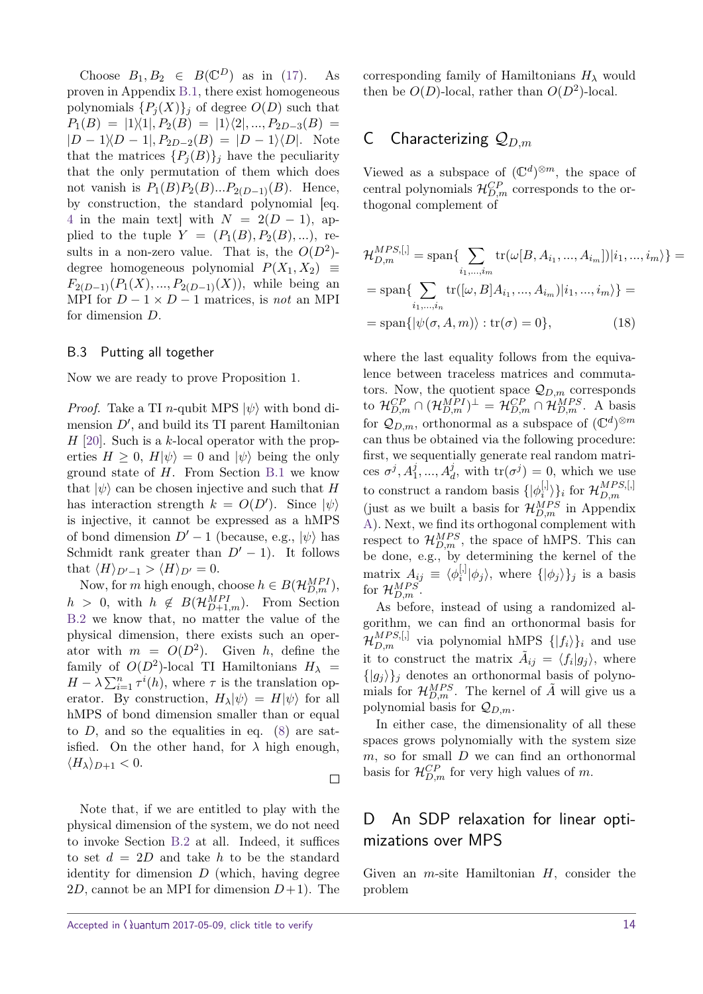Choose  $B_1, B_2 \in B(\mathbb{C}^D)$  as in [\(17\)](#page-12-3). As proven in Appendix [B.1,](#page-12-1) there exist homogeneous polynomials  ${P_i(X)}_i$  of degree  $O(D)$  such that  $P_1(B) = |1\rangle\langle 1|, P_2(B) = |1\rangle\langle 2|, ..., P_{2D-3}(B) =$  $|D - 1|$ ,  $P_{2D-2}(B) = |D - 1|$ , Note that the matrices  $\{P_j(B)\}_j$  have the peculiarity that the only permutation of them which does not vanish is  $P_1(B)P_2(B)...P_{2(D-1)}(B)$ . Hence, by construction, the standard polynomial [eq. [4](#page-2-3) in the main text] with  $N = 2(D - 1)$ , applied to the tuple  $Y = (P_1(B), P_2(B), \ldots)$ , results in a non-zero value. That is, the  $O(D^2)$ degree homogeneous polynomial  $P(X_1, X_2) \equiv$  $F_{2(D-1)}(P_1(X),...,P_{2(D-1)}(X)),$  while being an MPI for  $D - 1 \times D - 1$  matrices, is *not* an MPI for dimension *D*.

### <span id="page-13-2"></span>B.3 Putting all together

Now we are ready to prove Proposition 1.

*Proof.* Take a TI *n*-qubit MPS  $|\psi\rangle$  with bond dimension  $D'$ , and build its TI parent Hamiltonian *H* [\[20\]](#page-10-5). Such is a *k*-local operator with the properties  $H \geq 0$ ,  $H|\psi\rangle = 0$  and  $|\psi\rangle$  being the only ground state of *H*. From Section [B.1](#page-12-1) we know that  $|\psi\rangle$  can be chosen injective and such that *H* has interaction strength  $k = O(D')$ . Since  $|\psi\rangle$ is injective, it cannot be expressed as a hMPS of bond dimension  $D'-1$  (because, e.g.,  $|\psi\rangle$  has Schmidt rank greater than  $D' - 1$ ). It follows that  $\langle H \rangle_{D'-1}$  >  $\langle H \rangle_{D'} = 0$ .

Now, for *m* high enough, choose  $h \in B(\mathcal{H}_{D,m}^{MPI})$ ,  $h > 0$ , with  $h \notin B(\mathcal{H}_{D+1,m}^{MPI})$ . From Section [B.2](#page-12-2) we know that, no matter the value of the physical dimension, there exists such an operator with  $m = O(D^2)$ . Given *h*, define the family of  $O(D^2)$ -local TI Hamiltonians  $H_{\lambda}$  =  $H - \lambda \sum_{i=1}^{n} \tau^{i}(h)$ , where  $\tau$  is the translation operator. By construction,  $H_{\lambda}|\psi\rangle = H|\psi\rangle$  for all hMPS of bond dimension smaller than or equal to  $D$ , and so the equalities in eq.  $(8)$  are satisfied. On the other hand, for  $\lambda$  high enough,  $\langle H_{\lambda} \rangle_{D+1} < 0.$ 

Note that, if we are entitled to play with the physical dimension of the system, we do not need to invoke Section [B.2](#page-12-2) at all. Indeed, it suffices to set  $d = 2D$  and take *h* to be the standard identity for dimension  $D$  (which, having degree 2*D*, cannot be an MPI for dimension  $D+1$ ). The

 $\Box$ 

# <span id="page-13-0"></span>C Characterizing Q*D,m*

Viewed as a subspace of  $(\mathbb{C}^d)^{\otimes m}$ , the space of central polynomials  $\mathcal{H}_{D,m}^{CP}$  corresponds to the orthogonal complement of

$$
\mathcal{H}_{D,m}^{MPS, [,]} = \text{span}\left\{\sum_{i_1,\dots,i_m} \text{tr}(\omega[B, A_{i_1}, ..., A_{i_m}])|i_1, ..., i_m\rangle\right\} =
$$

$$
= \text{span}\left\{\sum_{i_1,\dots,i_n} \text{tr}([\omega, B]A_{i_1}, ..., A_{i_m})|i_1, ..., i_m\rangle\right\} =
$$

$$
= \text{span}\left\{|\psi(\sigma, A, m)\rangle : \text{tr}(\sigma) = 0\right\},\tag{18}
$$

where the last equality follows from the equivalence between traceless matrices and commutators. Now, the quotient space  $\mathcal{Q}_{D,m}$  corresponds to  $\mathcal{H}_{D,m}^{CP} \cap (\mathcal{H}_{D,m}^{MPI})^{\perp} = \mathcal{H}_{D,m}^{CP} \cap \mathcal{H}_{D,m}^{MPS}$ . A basis for  $\mathcal{Q}_{D,m}$ , orthonormal as a subspace of  $(\mathbb{C}^d)^{\otimes m}$ can thus be obtained via the following procedure: first, we sequentially generate real random matrices  $\sigma^j$ ,  $A_1^j$ , ...,  $A_d^j$ , with  $\text{tr}(\sigma^j) = 0$ , which we use to construct a random basis  $\{|\phi_i^{[0]} \rangle\}$  $\{a_i^{[l_i]}\rangle\}_i$  for  $\mathcal{H}_{D,m}^{MPS,[l_j]}$ *D,m* (just as we built a basis for  $\mathcal{H}_{D,m}^{MPS}$  in Appendix [A\)](#page-11-6). Next, we find its orthogonal complement with respect to  $\mathcal{H}_{D,m}^{MPS}$ , the space of hMPS. This can be done, e.g., by determining the kernel of the matrix  $A_{ij} \equiv \langle \phi_i^{[,} \rangle$  $\{|\phi_j\rangle\}$ , where  $\{|\phi_j\rangle\}$ *j* is a basis for  $\mathcal{H}_{D,m}^{MPS}$ .

As before, instead of using a randomized algorithm, we can find an orthonormal basis for  $\mathcal{H}_{D,m}^{MPS,[]}$  via polynomial hMPS  $\{|f_i\rangle\}_i$  and use it to construct the matrix  $\tilde{A}_{ij} = \langle f_i | g_j \rangle$ , where  $\{|g_j\rangle\}_j$  denotes an orthonormal basis of polynomials for  $\mathcal{H}_{D,m}^{MPS}$ . The kernel of  $\tilde{A}$  will give us a polynomial basis for Q*D,m*.

In either case, the dimensionality of all these spaces grows polynomially with the system size *m*, so for small *D* we can find an orthonormal basis for  $\mathcal{H}_{D,m}^{CP}$  for very high values of *m*.

# <span id="page-13-1"></span>D An SDP relaxation for linear optimizations over MPS

Given an *m*-site Hamiltonian *H*, consider the problem